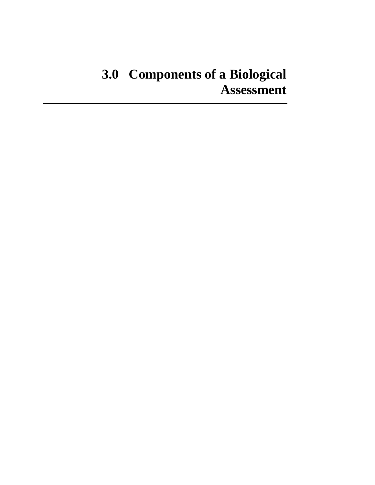# **3.0 Components of a Biological Assessment**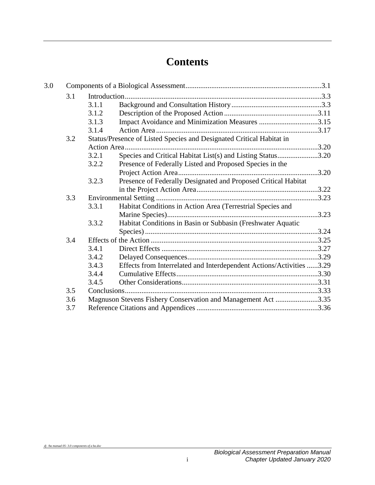## **Contents**

| 3.0 |     |       |                                                                      |       |  |  |
|-----|-----|-------|----------------------------------------------------------------------|-------|--|--|
|     | 3.1 |       |                                                                      |       |  |  |
|     |     | 3.1.1 |                                                                      |       |  |  |
|     |     | 3.1.2 |                                                                      |       |  |  |
|     |     | 3.1.3 | Impact Avoidance and Minimization Measures 3.15                      |       |  |  |
|     |     | 3.1.4 |                                                                      |       |  |  |
|     | 3.2 |       | Status/Presence of Listed Species and Designated Critical Habitat in |       |  |  |
|     |     |       |                                                                      |       |  |  |
|     |     | 3.2.1 | Species and Critical Habitat List(s) and Listing Status3.20          |       |  |  |
|     |     | 3.2.2 | Presence of Federally Listed and Proposed Species in the             |       |  |  |
|     |     |       |                                                                      | .3.20 |  |  |
|     |     | 3.2.3 | Presence of Federally Designated and Proposed Critical Habitat       |       |  |  |
|     |     |       |                                                                      |       |  |  |
|     | 3.3 |       |                                                                      |       |  |  |
|     |     | 3.3.1 | Habitat Conditions in Action Area (Terrestrial Species and           |       |  |  |
|     |     |       |                                                                      |       |  |  |
|     |     | 3.3.2 | Habitat Conditions in Basin or Subbasin (Freshwater Aquatic          |       |  |  |
|     |     |       |                                                                      |       |  |  |
|     | 3.4 |       |                                                                      |       |  |  |
|     |     | 3.4.1 |                                                                      |       |  |  |
|     |     | 3.4.2 |                                                                      |       |  |  |
|     |     | 3.4.3 | Effects from Interrelated and Interdependent Actions/Activities 3.29 |       |  |  |
|     |     | 3.4.4 |                                                                      |       |  |  |
|     |     | 3.4.5 |                                                                      |       |  |  |
|     | 3.5 |       |                                                                      |       |  |  |
|     | 3.6 |       | Magnuson Stevens Fishery Conservation and Management Act 3.35        |       |  |  |
|     | 3.7 |       |                                                                      |       |  |  |

*dj /ba manual 05- 3.0 components of a ba.doc*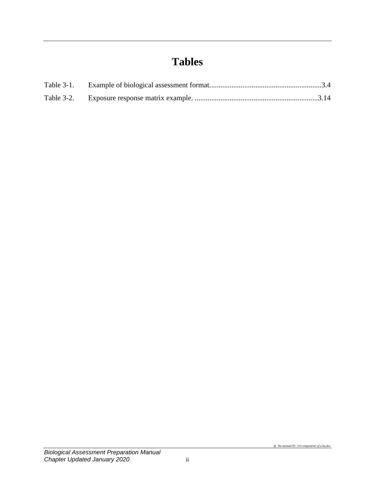## **Tables**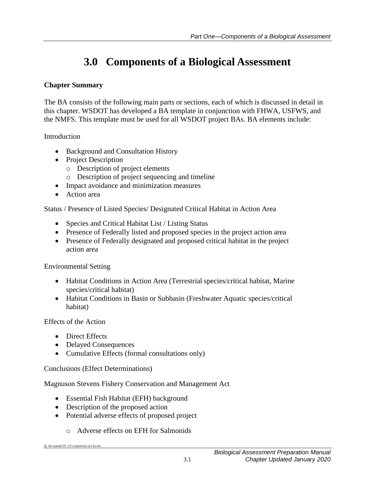## **3.0 Components of a Biological Assessment**

### <span id="page-4-0"></span>**Chapter Summary**

The BA consists of the following main parts or sections, each of which is discussed in detail in this chapter. WSDOT has developed a BA template in conjunction with FHWA, USFWS, and the NMFS. This template must be used for all WSDOT project BAs. BA elements include:

Introduction

- Background and Consultation History
- Project Description
	- o Description of project elements
	- o Description of project sequencing and timeline
- Impact avoidance and minimization measures
- Action area

Status / Presence of Listed Species/ Designated Critical Habitat in Action Area

- Species and Critical Habitat List / Listing Status
- Presence of Federally listed and proposed species in the project action area
- Presence of Federally designated and proposed critical habitat in the project action area

Environmental Setting

- Habitat Conditions in Action Area (Terrestrial species/critical habitat, Marine species/critical habitat)
- Habitat Conditions in Basin or Subbasin (Freshwater Aquatic species/critical habitat)

Effects of the Action

- Direct Effects
- Delayed Consequences
- Cumulative Effects (formal consultations only)

#### Conclusions (Effect Determinations)

Magnuson Stevens Fishery Conservation and Management Act

- Essential Fish Habitat (EFH) background
- Description of the proposed action
- Potential adverse effects of proposed project
	- o Adverse effects on EFH for Salmonids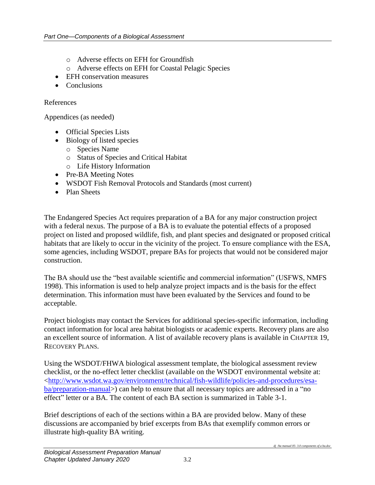- o Adverse effects on EFH for Groundfish
- o Adverse effects on EFH for Coastal Pelagic Species
- EFH conservation measures
- Conclusions

#### References

Appendices (as needed)

- Official Species Lists
- Biology of listed species
	- o Species Name
	- o Status of Species and Critical Habitat
	- o Life History Information
- Pre-BA Meeting Notes
- WSDOT Fish Removal Protocols and Standards (most current)
- Plan Sheets

The Endangered Species Act requires preparation of a BA for any major construction project with a federal nexus. The purpose of a BA is to evaluate the potential effects of a proposed project on listed and proposed wildlife, fish, and plant species and designated or proposed critical habitats that are likely to occur in the vicinity of the project. To ensure compliance with the ESA, some agencies, including WSDOT, prepare BAs for projects that would not be considered major construction.

The BA should use the "best available scientific and commercial information" (USFWS, NMFS 1998). This information is used to help analyze project impacts and is the basis for the effect determination. This information must have been evaluated by the Services and found to be acceptable.

Project biologists may contact the Services for additional species-specific information, including contact information for local area habitat biologists or academic experts. Recovery plans are also an excellent source of information. A list of available recovery plans is available in CHAPTER 19, RECOVERY PLANS.

Using the WSDOT/FHWA biological assessment template, the biological assessment review checklist, or the no-effect letter checklist (available on the WSDOT environmental website at: [<http://www.wsdot.wa.gov/environment/technical/fish-wildlife/policies-and-procedures/esa](http://www.wsdot.wa.gov/environment/technical/fish-wildlife/policies-and-procedures/esa-ba/preparation-manual)[ba/preparation-manual>](http://www.wsdot.wa.gov/environment/technical/fish-wildlife/policies-and-procedures/esa-ba/preparation-manual)) can help to ensure that all necessary topics are addressed in a "no effect" letter or a BA. The content of each BA section is summarized in Table 3-1.

Brief descriptions of each of the sections within a BA are provided below. Many of these discussions are accompanied by brief excerpts from BAs that exemplify common errors or illustrate high-quality BA writing.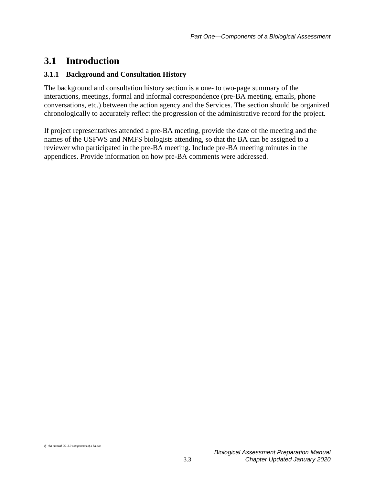## <span id="page-6-0"></span>**3.1 Introduction**

## <span id="page-6-1"></span>**3.1.1 Background and Consultation History**

The background and consultation history section is a one- to two-page summary of the interactions, meetings, formal and informal correspondence (pre-BA meeting, emails, phone conversations, etc.) between the action agency and the Services. The section should be organized chronologically to accurately reflect the progression of the administrative record for the project.

If project representatives attended a pre-BA meeting, provide the date of the meeting and the names of the USFWS and NMFS biologists attending, so that the BA can be assigned to a reviewer who participated in the pre-BA meeting. Include pre-BA meeting minutes in the appendices. Provide information on how pre-BA comments were addressed.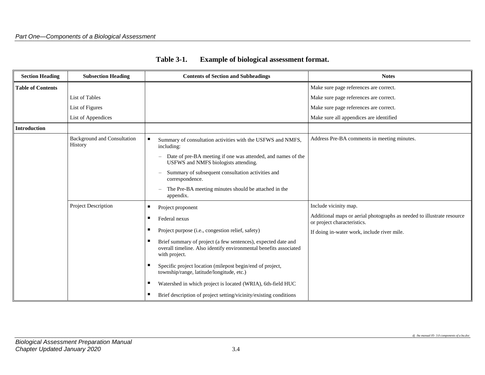<span id="page-7-0"></span>

| <b>Section Heading</b>   | <b>Subsection Heading</b>                     | <b>Contents of Section and Subheadings</b>                                                                                                          | <b>Notes</b>                                                                                          |
|--------------------------|-----------------------------------------------|-----------------------------------------------------------------------------------------------------------------------------------------------------|-------------------------------------------------------------------------------------------------------|
| <b>Table of Contents</b> |                                               |                                                                                                                                                     | Make sure page references are correct.                                                                |
|                          | List of Tables                                |                                                                                                                                                     | Make sure page references are correct.                                                                |
|                          | List of Figures                               |                                                                                                                                                     | Make sure page references are correct.                                                                |
|                          | List of Appendices                            |                                                                                                                                                     | Make sure all appendices are identified                                                               |
| <b>Introduction</b>      |                                               |                                                                                                                                                     |                                                                                                       |
|                          | <b>Background and Consultation</b><br>History | ٠<br>Summary of consultation activities with the USFWS and NMFS,<br>including:                                                                      | Address Pre-BA comments in meeting minutes.                                                           |
|                          |                                               | Date of pre-BA meeting if one was attended, and names of the<br>USFWS and NMFS biologists attending.                                                |                                                                                                       |
|                          |                                               | Summary of subsequent consultation activities and<br>correspondence.                                                                                |                                                                                                       |
|                          |                                               | The Pre-BA meeting minutes should be attached in the<br>appendix.                                                                                   |                                                                                                       |
|                          | Project Description                           | п<br>Project proponent                                                                                                                              | Include vicinity map.                                                                                 |
|                          |                                               | Federal nexus<br>п                                                                                                                                  | Additional maps or aerial photographs as needed to illustrate resource<br>or project characteristics. |
|                          |                                               | Project purpose (i.e., congestion relief, safety)                                                                                                   | If doing in-water work, include river mile.                                                           |
|                          |                                               | Brief summary of project (a few sentences), expected date and<br>overall timeline. Also identify environmental benefits associated<br>with project. |                                                                                                       |
|                          |                                               | Specific project location (milepost begin/end of project,<br>township/range, latitude/longitude, etc.)                                              |                                                                                                       |
|                          |                                               | Watershed in which project is located (WRIA), 6th-field HUC<br>п                                                                                    |                                                                                                       |
|                          |                                               | Brief description of project setting/vicinity/existing conditions                                                                                   |                                                                                                       |

| <b>Table 3-1.</b> | <b>Example of biological assessment format.</b> |
|-------------------|-------------------------------------------------|
|                   |                                                 |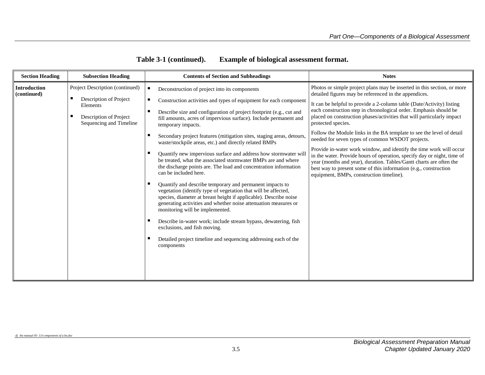| <b>Section Heading</b>      | <b>Subsection Heading</b>                         | <b>Contents of Section and Subheadings</b>                                                                                                                                                                                                                                                            | <b>Notes</b>                                                                                                                                                                                                                                                                                                                          |
|-----------------------------|---------------------------------------------------|-------------------------------------------------------------------------------------------------------------------------------------------------------------------------------------------------------------------------------------------------------------------------------------------------------|---------------------------------------------------------------------------------------------------------------------------------------------------------------------------------------------------------------------------------------------------------------------------------------------------------------------------------------|
| Introduction<br>(continued) | Project Description (continued)                   | Deconstruction of project into its components                                                                                                                                                                                                                                                         | Photos or simple project plans may be inserted in this section, or more<br>detailed figures may be referenced in the appendices.                                                                                                                                                                                                      |
|                             | Description of Project<br>Elements                | ш<br>Construction activities and types of equipment for each component                                                                                                                                                                                                                                | It can be helpful to provide a 2-column table (Date/Activity) listing                                                                                                                                                                                                                                                                 |
|                             | Description of Project<br>Sequencing and Timeline | Describe size and configuration of project footprint (e.g., cut and<br>fill amounts, acres of impervious surface). Include permanent and<br>temporary impacts.                                                                                                                                        | each construction step in chronological order. Emphasis should be<br>placed on construction phases/activities that will particularly impact<br>protected species.                                                                                                                                                                     |
|                             |                                                   | Secondary project features (mitigation sites, staging areas, detours,<br>waste/stockpile areas, etc.) and directly related BMPs                                                                                                                                                                       | Follow the Module links in the BA template to see the level of detail<br>needed for seven types of common WSDOT projects.                                                                                                                                                                                                             |
|                             |                                                   | Quantify new impervious surface and address how stormwater will<br>be treated, what the associated stormwater BMPs are and where<br>the discharge points are. The load and concentration information<br>can be included here.                                                                         | Provide in-water work window, and identify the time work will occur<br>in the water. Provide hours of operation, specify day or night, time of<br>year (months and year), duration. Tables/Gantt charts are often the<br>best way to present some of this information (e.g., construction<br>equipment, BMPs, construction timeline). |
|                             |                                                   | Quantify and describe temporary and permanent impacts to<br>vegetation (identify type of vegetation that will be affected,<br>species, diameter at breast height if applicable). Describe noise<br>generating activities and whether noise attenuation measures or<br>monitoring will be implemented. |                                                                                                                                                                                                                                                                                                                                       |
|                             |                                                   | Describe in-water work; include stream bypass, dewatering, fish<br>exclusions, and fish moving.                                                                                                                                                                                                       |                                                                                                                                                                                                                                                                                                                                       |
|                             |                                                   | Detailed project timeline and sequencing addressing each of the<br>components                                                                                                                                                                                                                         |                                                                                                                                                                                                                                                                                                                                       |
|                             |                                                   |                                                                                                                                                                                                                                                                                                       |                                                                                                                                                                                                                                                                                                                                       |

*dj /ba manual 05- 3.0 components of a ba.doc*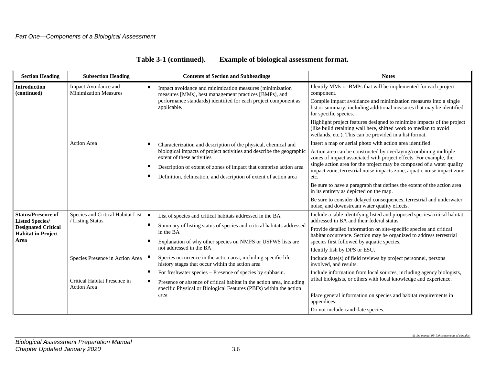| <b>Section Heading</b>                                                                                                 | <b>Subsection Heading</b>                                                                                                                      | <b>Contents of Section and Subheadings</b>                                                                                                                                                                                                                                                                                                                                                                                                                                                                                                                                                                    | <b>Notes</b>                                                                                                                                                                                                                                                                                                                                                                                                                                                                                                                                                                                                                                                                                                      |
|------------------------------------------------------------------------------------------------------------------------|------------------------------------------------------------------------------------------------------------------------------------------------|---------------------------------------------------------------------------------------------------------------------------------------------------------------------------------------------------------------------------------------------------------------------------------------------------------------------------------------------------------------------------------------------------------------------------------------------------------------------------------------------------------------------------------------------------------------------------------------------------------------|-------------------------------------------------------------------------------------------------------------------------------------------------------------------------------------------------------------------------------------------------------------------------------------------------------------------------------------------------------------------------------------------------------------------------------------------------------------------------------------------------------------------------------------------------------------------------------------------------------------------------------------------------------------------------------------------------------------------|
| <b>Introduction</b><br>(continued)                                                                                     | Impact Avoidance and<br><b>Minimization Measures</b>                                                                                           | п.<br>Impact avoidance and minimization measures (minimization<br>measures [MMs], best management practices [BMPs], and<br>performance standards) identified for each project component as<br>applicable.                                                                                                                                                                                                                                                                                                                                                                                                     | Identify MMs or BMPs that will be implemented for each project<br>component.<br>Compile impact avoidance and minimization measures into a single<br>list or summary, including additional measures that may be identified<br>for specific species.<br>Highlight project features designed to minimize impacts of the project<br>(like build retaining wall here, shifted work to median to avoid<br>wetlands, etc.). This can be provided in a list format.                                                                                                                                                                                                                                                       |
|                                                                                                                        | <b>Action Area</b>                                                                                                                             | Characterization and description of the physical, chemical and<br>biological impacts of project activities and describe the geographic<br>extent of these activities<br>Description of extent of zones of impact that comprise action area<br>Definition, delineation, and description of extent of action area                                                                                                                                                                                                                                                                                               | Insert a map or aerial photo with action area identified.<br>Action area can be constructed by overlaying/combining multiple<br>zones of impact associated with project effects. For example, the<br>single action area for the project may be composed of a water quality<br>impact zone, terrestrial noise impacts zone, aquatic noise impact zone,<br>etc.<br>Be sure to have a paragraph that defines the extent of the action area<br>in its entirety as depicted on the map.<br>Be sure to consider delayed consequences, terrestrial and underwater<br>noise, and downstream water quality effects.                                                                                                        |
| <b>Status/Presence of</b><br><b>Listed Species/</b><br><b>Designated Critical</b><br><b>Habitat in Project</b><br>Area | Species and Critical Habitat List<br>/ Listing Status<br>Species Presence in Action Area<br>Critical Habitat Presence in<br><b>Action Area</b> | $\blacksquare$<br>List of species and critical habitats addressed in the BA<br>Summary of listing status of species and critical habitats addressed<br>in the BA<br>Explanation of why other species on NMFS or USFWS lists are<br>not addressed in the BA<br>Species occurrence in the action area, including specific life<br>history stages that occur within the action area<br>For freshwater species – Presence of species by subbasin.<br>٠<br>Presence or absence of critical habitat in the action area, including<br>٠<br>specific Physical or Biological Features (PBFs) within the action<br>area | Include a table identifying listed and proposed species/critical habitat<br>addressed in BA and their federal status.<br>Provide detailed information on site-specific species and critical<br>habitat occurrence. Section may be organized to address terrestrial<br>species first followed by aquatic species.<br>Identify fish by DPS or ESU.<br>Include date(s) of field reviews by project personnel, persons<br>involved, and results.<br>Include information from local sources, including agency biologists,<br>tribal biologists, or others with local knowledge and experience.<br>Place general information on species and habitat requirements in<br>appendices.<br>Do not include candidate species. |

| Table 3-1 (continued). | <b>Example of biological assessment format.</b> |
|------------------------|-------------------------------------------------|
|                        |                                                 |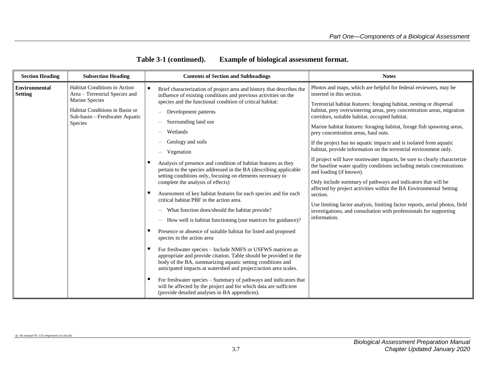| <b>Section Heading</b>          | <b>Subsection Heading</b>                                                                                                                                            |        | <b>Contents of Section and Subheadings</b>                                                                                                                                                                                                                                                                                                                                                                                                                                                                                                                                                                                                                                                                                                                                                                                                                                                                                                                                                                                                                                                                                                                                                                                                                                                                                                                                                                                                                                                          | <b>Notes</b>                                                                                                                                                                                                                                                                                                                                                                                                                                                                                                                                                                                                                                                                                                                                                                                                                                                                                                                                                                                                                                                          |
|---------------------------------|----------------------------------------------------------------------------------------------------------------------------------------------------------------------|--------|-----------------------------------------------------------------------------------------------------------------------------------------------------------------------------------------------------------------------------------------------------------------------------------------------------------------------------------------------------------------------------------------------------------------------------------------------------------------------------------------------------------------------------------------------------------------------------------------------------------------------------------------------------------------------------------------------------------------------------------------------------------------------------------------------------------------------------------------------------------------------------------------------------------------------------------------------------------------------------------------------------------------------------------------------------------------------------------------------------------------------------------------------------------------------------------------------------------------------------------------------------------------------------------------------------------------------------------------------------------------------------------------------------------------------------------------------------------------------------------------------------|-----------------------------------------------------------------------------------------------------------------------------------------------------------------------------------------------------------------------------------------------------------------------------------------------------------------------------------------------------------------------------------------------------------------------------------------------------------------------------------------------------------------------------------------------------------------------------------------------------------------------------------------------------------------------------------------------------------------------------------------------------------------------------------------------------------------------------------------------------------------------------------------------------------------------------------------------------------------------------------------------------------------------------------------------------------------------|
| Environmental<br><b>Setting</b> | <b>Habitat Conditions in Action</b><br>Area - Terrestrial Species and<br>Marine Species<br>Habitat Conditions in Basin or<br>Sub-basin-Freshwater Aquatic<br>Species | п<br>п | Brief characterization of project area and history that describes the<br>influence of existing conditions and previous activities on the<br>species and the functional condition of critical habitat:<br>Development patterns<br>$\qquad \qquad -$<br>Surrounding land use<br>$\overline{\phantom{0}}$<br>Wetlands<br>Geology and soils<br>$\overline{\phantom{0}}$<br>Vegetation<br>$\overline{\phantom{0}}$<br>Analysis of presence and condition of habitat features as they<br>pertain to the species addressed in the BA (describing applicable<br>setting conditions only, focusing on elements necessary to<br>complete the analysis of effects)<br>Assessment of key habitat features for each species and for each<br>critical habitat PBF in the action area.<br>What function does/should the habitat provide?<br>$\qquad \qquad -$<br>How well is habitat functioning (use matrices for guidance)?<br>$\qquad \qquad -$<br>Presence or absence of suitable habitat for listed and proposed<br>species in the action area<br>For freshwater species - Include NMFS or USFWS matrices as<br>appropriate and provide citation. Table should be provided in the<br>body of the BA, summarizing aquatic setting conditions and<br>anticipated impacts at watershed and project/action area scales.<br>For freshwater species – Summary of pathways and indicators that<br>will be affected by the project and for which data are sufficient<br>(provide detailed analyses in BA appendices). | Photos and maps, which are helpful for federal reviewers, may be<br>inserted in this section.<br>Terrestrial habitat features: foraging habitat, nesting or dispersal<br>habitat, prey overwintering areas, prey concentration areas, migration<br>corridors, suitable habitat, occupied habitat.<br>Marine habitat features: foraging habitat, forage fish spawning areas,<br>prey concentration areas, haul outs.<br>If the project has no aquatic impacts and is isolated from aquatic<br>habitat, provide information on the terrestrial environment only.<br>If project will have stormwater impacts, be sure to clearly characterize<br>the baseline water quality conditions including metals concentrations<br>and loading (if known).<br>Only include summary of pathways and indicators that will be<br>affected by project activities within the BA Environmental Setting<br>section.<br>Use limiting factor analysis, limiting factor reports, aerial photos, field<br>investigations, and consultation with professionals for supporting<br>information. |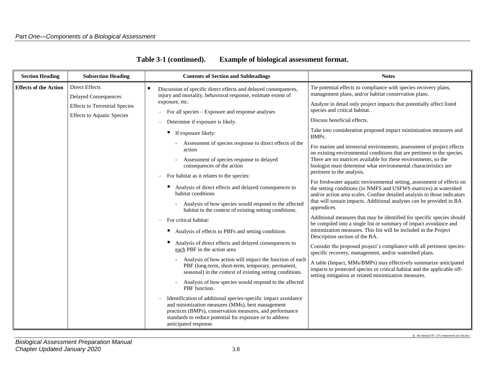| <b>Section Heading</b>       | <b>Subsection Heading</b>                                                  | <b>Contents of Section and Subheadings</b>                                                                                                                                                                                                                          | <b>Notes</b>                                                                                                                                                                                                           |                                                                                                                 |                                                                                                                                                                          |                                                                                                                                                                                                      |  |  |  |                                                         |                                                                                                                                             |
|------------------------------|----------------------------------------------------------------------------|---------------------------------------------------------------------------------------------------------------------------------------------------------------------------------------------------------------------------------------------------------------------|------------------------------------------------------------------------------------------------------------------------------------------------------------------------------------------------------------------------|-----------------------------------------------------------------------------------------------------------------|--------------------------------------------------------------------------------------------------------------------------------------------------------------------------|------------------------------------------------------------------------------------------------------------------------------------------------------------------------------------------------------|--|--|--|---------------------------------------------------------|---------------------------------------------------------------------------------------------------------------------------------------------|
| <b>Effects of the Action</b> | <b>Direct Effects</b><br><b>Delayed Consequences</b>                       | ٠<br>Discussion of specific direct effects and delayed consequences,<br>injury and mortality, behavioral response, estimate extent of                                                                                                                               | Tie potential effects to compliance with species recovery plans,<br>management plans, and/or habitat conservation plans.                                                                                               |                                                                                                                 |                                                                                                                                                                          |                                                                                                                                                                                                      |  |  |  |                                                         |                                                                                                                                             |
|                              | <b>Effects to Terrestrial Species</b><br><b>Effects to Aquatic Species</b> | exposure, etc.<br>For all species – Exposure and response analyses                                                                                                                                                                                                  | Analyze in detail only project impacts that potentially affect listed<br>species and critical habitat.                                                                                                                 |                                                                                                                 |                                                                                                                                                                          |                                                                                                                                                                                                      |  |  |  |                                                         |                                                                                                                                             |
|                              |                                                                            | Determine if exposure is likely.                                                                                                                                                                                                                                    | Discuss beneficial effects.                                                                                                                                                                                            |                                                                                                                 |                                                                                                                                                                          |                                                                                                                                                                                                      |  |  |  |                                                         |                                                                                                                                             |
|                              |                                                                            | If exposure likely:                                                                                                                                                                                                                                                 | Take into consideration proposed impact minimization measures and<br>BMP <sub>s</sub> .                                                                                                                                |                                                                                                                 |                                                                                                                                                                          |                                                                                                                                                                                                      |  |  |  |                                                         |                                                                                                                                             |
|                              |                                                                            | Assessment of species response to direct effects of the<br>action                                                                                                                                                                                                   | For marine and terrestrial environments, assessment of project effects<br>on existing environmental conditions that are pertinent to the species.                                                                      |                                                                                                                 |                                                                                                                                                                          |                                                                                                                                                                                                      |  |  |  |                                                         |                                                                                                                                             |
|                              |                                                                            | Assessment of species response to delayed<br>consequences of the action                                                                                                                                                                                             | There are no matrices available for these environments, so the<br>biologist must determine what environmental characteristics are                                                                                      |                                                                                                                 |                                                                                                                                                                          |                                                                                                                                                                                                      |  |  |  |                                                         |                                                                                                                                             |
|                              |                                                                            | For habitat as it relates to the species:                                                                                                                                                                                                                           | pertinent to the analysis.                                                                                                                                                                                             |                                                                                                                 |                                                                                                                                                                          |                                                                                                                                                                                                      |  |  |  |                                                         |                                                                                                                                             |
|                              |                                                                            | Analysis of direct effects and delayed consequences to<br>habitat conditions                                                                                                                                                                                        | For freshwater aquatic environmental setting, assessment of effects on<br>the setting conditions (in NMFS and USFWS matrices) at watershed<br>and/or action area scales. Confine detailed analysis to those indicators |                                                                                                                 |                                                                                                                                                                          |                                                                                                                                                                                                      |  |  |  |                                                         |                                                                                                                                             |
|                              |                                                                            |                                                                                                                                                                                                                                                                     |                                                                                                                                                                                                                        | Analysis of how species would respond to the affected<br>habitat in the context of existing setting conditions. | that will sustain impacts. Additional analyses can be provided in BA<br>appendices.                                                                                      |                                                                                                                                                                                                      |  |  |  |                                                         |                                                                                                                                             |
|                              |                                                                            |                                                                                                                                                                                                                                                                     |                                                                                                                                                                                                                        |                                                                                                                 |                                                                                                                                                                          |                                                                                                                                                                                                      |  |  |  | For critical habitat:                                   | Additional measures that may be identified for specific species should<br>be compiled into a single list or summary of impact avoidance and |
|                              |                                                                            |                                                                                                                                                                                                                                                                     |                                                                                                                                                                                                                        |                                                                                                                 |                                                                                                                                                                          |                                                                                                                                                                                                      |  |  |  | Analysis of effects to PBFs and setting conditions<br>ш | minimization measures. This list will be included in the Project<br>Description section of the BA.                                          |
|                              |                                                                            |                                                                                                                                                                                                                                                                     |                                                                                                                                                                                                                        |                                                                                                                 |                                                                                                                                                                          |                                                                                                                                                                                                      |  |  |  |                                                         |                                                                                                                                             |
|                              |                                                                            |                                                                                                                                                                                                                                                                     |                                                                                                                                                                                                                        |                                                                                                                 | Analysis of how action will impact the function of each<br>PBF (long-term, short-term, temporary, permanent,<br>seasonal) in the context of existing setting conditions. | A table (Impact, MMs/BMPs) may effectively summarize anticipated<br>impacts to protected species or critical habitat and the applicable off-<br>setting mitigation or related minimization measures. |  |  |  |                                                         |                                                                                                                                             |
|                              |                                                                            | Analysis of how species would respond to the affected<br>PBF function.                                                                                                                                                                                              |                                                                                                                                                                                                                        |                                                                                                                 |                                                                                                                                                                          |                                                                                                                                                                                                      |  |  |  |                                                         |                                                                                                                                             |
|                              |                                                                            | Identification of additional species-specific impact avoidance<br>and minimization measures (MMs), best management<br>practices (BMPs), conservation measures, and performance<br>standards to reduce potential for exposure or to address<br>anticipated response. |                                                                                                                                                                                                                        |                                                                                                                 |                                                                                                                                                                          |                                                                                                                                                                                                      |  |  |  |                                                         |                                                                                                                                             |

*dj /ba manual 05- 3.0 components of a ba.doc*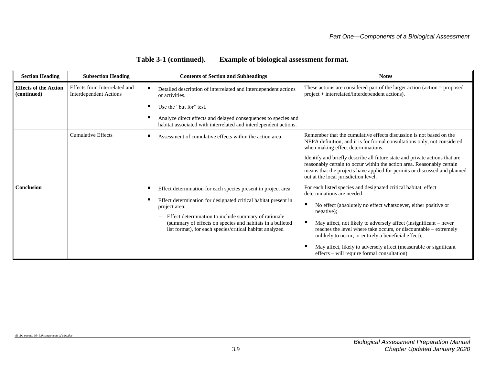| Table 3-1 (continued). | <b>Example of biological assessment format.</b> |
|------------------------|-------------------------------------------------|
|------------------------|-------------------------------------------------|

| <b>Section Heading</b>                      | <b>Subsection Heading</b>                                      | <b>Contents of Section and Subheadings</b>                                                                                                                                                                                                                                                                                         | <b>Notes</b>                                                                                                                                                                                                                                                                                                                                                                                                                                                                                       |
|---------------------------------------------|----------------------------------------------------------------|------------------------------------------------------------------------------------------------------------------------------------------------------------------------------------------------------------------------------------------------------------------------------------------------------------------------------------|----------------------------------------------------------------------------------------------------------------------------------------------------------------------------------------------------------------------------------------------------------------------------------------------------------------------------------------------------------------------------------------------------------------------------------------------------------------------------------------------------|
| <b>Effects of the Action</b><br>(continued) | Effects from Interrelated and<br><b>Interdependent Actions</b> | Detailed description of interrelated and interdependent actions<br>or activities.                                                                                                                                                                                                                                                  | These actions are considered part of the larger action (action $=$ proposed<br>project + interrelated/interdependent actions).                                                                                                                                                                                                                                                                                                                                                                     |
|                                             |                                                                | Use the "but for" test.                                                                                                                                                                                                                                                                                                            |                                                                                                                                                                                                                                                                                                                                                                                                                                                                                                    |
|                                             |                                                                | Analyze direct effects and delayed consequences to species and<br>habitat associated with interrelated and interdependent actions.                                                                                                                                                                                                 |                                                                                                                                                                                                                                                                                                                                                                                                                                                                                                    |
|                                             | <b>Cumulative Effects</b>                                      | Assessment of cumulative effects within the action area                                                                                                                                                                                                                                                                            | Remember that the cumulative effects discussion is not based on the<br>NEPA definition; and it is for formal consultations only, not considered<br>when making effect determinations.                                                                                                                                                                                                                                                                                                              |
|                                             |                                                                |                                                                                                                                                                                                                                                                                                                                    | Identify and briefly describe all future state and private actions that are<br>reasonably certain to occur within the action area. Reasonably certain<br>means that the projects have applied for permits or discussed and planned<br>out at the local jurisdiction level.                                                                                                                                                                                                                         |
| Conclusion                                  |                                                                | Effect determination for each species present in project area<br>Effect determination for designated critical habitat present in<br>project area:<br>Effect determination to include summary of rationale<br>(summary of effects on species and habitats in a bulleted<br>list format), for each species/critical habitat analyzed | For each listed species and designated critical habitat, effect<br>determinations are needed:<br>No effect (absolutely no effect whatsoever, either positive or<br>negative);<br>May affect, not likely to adversely affect (insignificant - never<br>reaches the level where take occurs, or discountable - extremely<br>unlikely to occur; or entirely a beneficial effect);<br>May affect, likely to adversely affect (measurable or significant<br>effects – will require formal consultation) |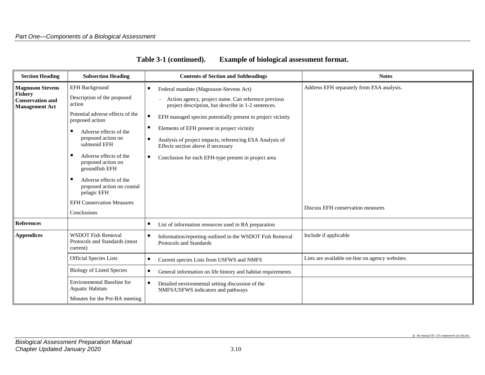| <b>Section Heading</b>                                             | <b>Subsection Heading</b>                                                | <b>Contents of Section and Subheadings</b>                                                                 | <b>Notes</b>                                    |
|--------------------------------------------------------------------|--------------------------------------------------------------------------|------------------------------------------------------------------------------------------------------------|-------------------------------------------------|
| <b>Magnuson Stevens</b>                                            | <b>EFH Background</b>                                                    | Federal mandate (Magnuson-Stevens Act)                                                                     | Address EFH separately from ESA analysis.       |
| <b>Fishery</b><br><b>Conservation and</b><br><b>Management Act</b> | Description of the proposed<br>action                                    | Action agency, project name. Can reference previous<br>project description, but describe in 1-2 sentences. |                                                 |
|                                                                    | Potential adverse effects of the<br>proposed action                      | ٠<br>EFH managed species potentially present in project vicinity                                           |                                                 |
|                                                                    | п<br>Adverse effects of the                                              | Elements of EFH present in project vicinity                                                                |                                                 |
|                                                                    | proposed action on<br>salmonid EFH                                       | п<br>Analysis of project impacts, referencing ESA Analysis of<br>Effects section above if necessary        |                                                 |
|                                                                    | п<br>Adverse effects of the<br>proposed action on<br>groundfish EFH      | Conclusion for each EFH-type present in project area<br>٠                                                  |                                                 |
|                                                                    | п<br>Adverse effects of the<br>proposed action on coastal<br>pelagic EFH |                                                                                                            |                                                 |
|                                                                    | <b>EFH Conservation Measures</b>                                         |                                                                                                            | Discuss EFH conservation measures               |
|                                                                    | Conclusions                                                              |                                                                                                            |                                                 |
| <b>References</b>                                                  |                                                                          | List of information resources used in BA preparation<br>٠                                                  |                                                 |
| <b>Appendices</b>                                                  | <b>WSDOT Fish Removal</b><br>Protocols and Standards (most<br>current)   | п.<br>Information/reporting outlined in the WSDOT Fish Removal<br>Protocols and Standards                  | Include if applicable                           |
|                                                                    | <b>Official Species Lists</b>                                            | п.<br>Current species Lists from USFWS and NMFS                                                            | Lists are available on-line on agency websites. |
|                                                                    | <b>Biology of Listed Species</b>                                         | п<br>General information on life history and habitat requirements                                          |                                                 |
|                                                                    | Environmental Baseline for<br><b>Aquatic Habitats</b>                    | Detailed environmental setting discussion of the<br>NMFS/USFWS indicators and pathways                     |                                                 |
|                                                                    | Minutes for the Pre-BA meeting                                           |                                                                                                            |                                                 |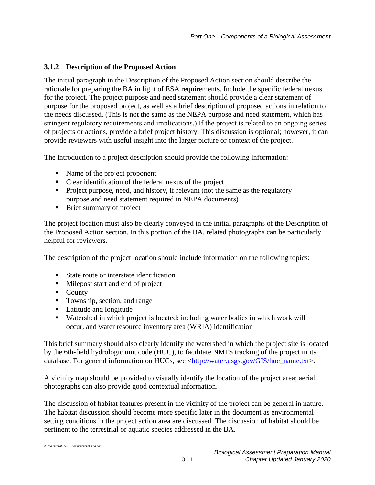### <span id="page-14-0"></span>**3.1.2 Description of the Proposed Action**

The initial paragraph in the Description of the Proposed Action section should describe the rationale for preparing the BA in light of ESA requirements. Include the specific federal nexus for the project. The project purpose and need statement should provide a clear statement of purpose for the proposed project, as well as a brief description of proposed actions in relation to the needs discussed. (This is not the same as the NEPA purpose and need statement, which has stringent regulatory requirements and implications.) If the project is related to an ongoing series of projects or actions, provide a brief project history. This discussion is optional; however, it can provide reviewers with useful insight into the larger picture or context of the project.

The introduction to a project description should provide the following information:

- Name of the project proponent
- Clear identification of the federal nexus of the project
- Project purpose, need, and history, if relevant (not the same as the regulatory purpose and need statement required in NEPA documents)
- **Brief summary of project**

The project location must also be clearly conveyed in the initial paragraphs of the Description of the Proposed Action section. In this portion of the BA, related photographs can be particularly helpful for reviewers.

The description of the project location should include information on the following topics:

- State route or interstate identification
- **Milepost start and end of project**
- **County**
- Township, section, and range
- Latitude and longitude
- Watershed in which project is located: including water bodies in which work will occur, and water resource inventory area (WRIA) identification

This brief summary should also clearly identify the watershed in which the project site is located by the 6th-field hydrologic unit code (HUC), to facilitate NMFS tracking of the project in its database. For general information on HUCs, see [<http://water.usgs.gov/GIS/huc\\_name.txt>](http://water.usgs.gov/GIS/huc_name.txt).

A vicinity map should be provided to visually identify the location of the project area; aerial photographs can also provide good contextual information.

The discussion of habitat features present in the vicinity of the project can be general in nature. The habitat discussion should become more specific later in the document as environmental setting conditions in the project action area are discussed. The discussion of habitat should be pertinent to the terrestrial or aquatic species addressed in the BA.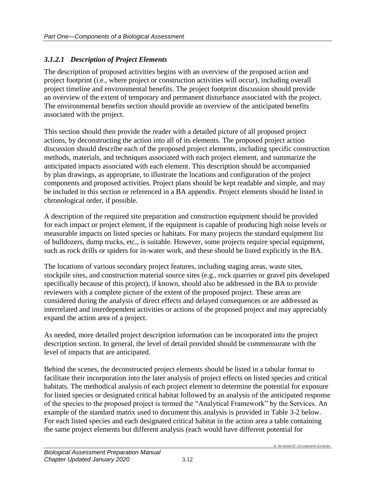### *3.1.2.1 Description of Project Elements*

The description of proposed activities begins with an overview of the proposed action and project footprint (i.e., where project or construction activities will occur), including overall project timeline and environmental benefits. The project footprint discussion should provide an overview of the extent of temporary and permanent disturbance associated with the project. The environmental benefits section should provide an overview of the anticipated benefits associated with the project.

This section should then provide the reader with a detailed picture of all proposed project actions, by deconstructing the action into all of its elements. The proposed project action discussion should describe each of the proposed project elements, including specific construction methods, materials, and techniques associated with each project element, and summarize the anticipated impacts associated with each element. This description should be accompanied by plan drawings, as appropriate, to illustrate the locations and configuration of the project components and proposed activities. Project plans should be kept readable and simple, and may be included in this section or referenced in a BA appendix. Project elements should be listed in chronological order, if possible.

A description of the required site preparation and construction equipment should be provided for each impact or project element, if the equipment is capable of producing high noise levels or measurable impacts on listed species or habitats. For many projects the standard equipment list of bulldozers, dump trucks, etc., is suitable. However, some projects require special equipment, such as rock drills or spiders for in-water work, and these should be listed explicitly in the BA.

The locations of various secondary project features, including staging areas, waste sites, stockpile sites, and construction material source sites (e.g., rock quarries or gravel pits developed specifically because of this project), if known, should also be addressed in the BA to provide reviewers with a complete picture of the extent of the proposed project. These areas are considered during the analysis of direct effects and delayed consequences or are addressed as interrelated and interdependent activities or actions of the proposed project and may appreciably expand the action area of a project.

As needed, more detailed project description information can be incorporated into the project description section. In general, the level of detail provided should be commensurate with the level of impacts that are anticipated.

Behind the scenes, the deconstructed project elements should be listed in a tabular format to facilitate their incorporation into the later analysis of project effects on listed species and critical habitats. The methodical analysis of each project element to determine the potential for exposure for listed species or designated critical habitat followed by an analysis of the anticipated response of the species to the proposed project is termed the "Analytical Framework" by the Services. An example of the standard matrix used to document this analysis is provided in Table 3-2 below. For each listed species and each designated critical habitat in the action area a table containing the same project elements but different analysis (each would have different potential for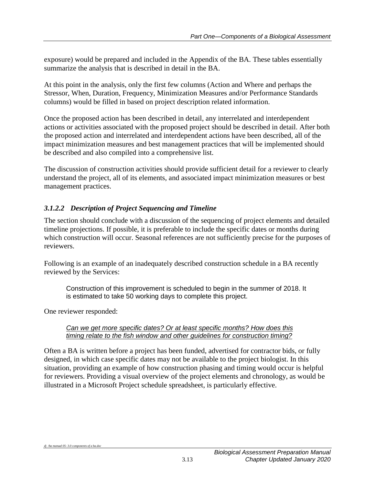exposure) would be prepared and included in the Appendix of the BA. These tables essentially summarize the analysis that is described in detail in the BA.

At this point in the analysis, only the first few columns (Action and Where and perhaps the Stressor, When, Duration, Frequency, Minimization Measures and/or Performance Standards columns) would be filled in based on project description related information.

Once the proposed action has been described in detail, any interrelated and interdependent actions or activities associated with the proposed project should be described in detail. After both the proposed action and interrelated and interdependent actions have been described, all of the impact minimization measures and best management practices that will be implemented should be described and also compiled into a comprehensive list.

The discussion of construction activities should provide sufficient detail for a reviewer to clearly understand the project, all of its elements, and associated impact minimization measures or best management practices.

## *3.1.2.2 Description of Project Sequencing and Timeline*

The section should conclude with a discussion of the sequencing of project elements and detailed timeline projections. If possible, it is preferable to include the specific dates or months during which construction will occur. Seasonal references are not sufficiently precise for the purposes of reviewers.

Following is an example of an inadequately described construction schedule in a BA recently reviewed by the Services:

Construction of this improvement is scheduled to begin in the summer of 2018. It is estimated to take 50 working days to complete this project.

One reviewer responded:

#### *Can we get more specific dates? Or at least specific months? How does this timing relate to the fish window and other guidelines for construction timing?*

Often a BA is written before a project has been funded, advertised for contractor bids, or fully designed, in which case specific dates may not be available to the project biologist. In this situation, providing an example of how construction phasing and timing would occur is helpful for reviewers. Providing a visual overview of the project elements and chronology, as would be illustrated in a Microsoft Project schedule spreadsheet, is particularly effective.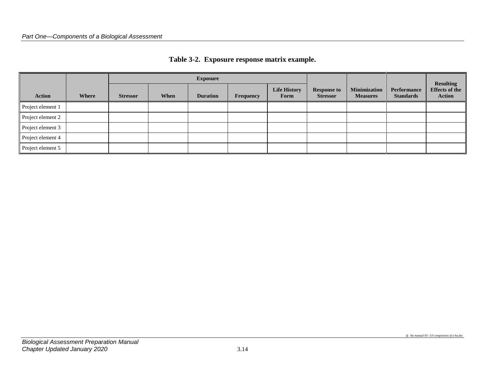<span id="page-17-0"></span>

|                   |       | <b>Exposure</b> |      |                 |                  |                             |                                       |                                        |                                        | <b>Resulting</b>                       |
|-------------------|-------|-----------------|------|-----------------|------------------|-----------------------------|---------------------------------------|----------------------------------------|----------------------------------------|----------------------------------------|
| <b>Action</b>     | Where | <b>Stressor</b> | When | <b>Duration</b> | <b>Frequency</b> | <b>Life History</b><br>Form | <b>Response to</b><br><b>Stressor</b> | <b>Minimization</b><br><b>Measures</b> | <b>Performance</b><br><b>Standards</b> | <b>Effects of the</b><br><b>Action</b> |
| Project element 1 |       |                 |      |                 |                  |                             |                                       |                                        |                                        |                                        |
| Project element 2 |       |                 |      |                 |                  |                             |                                       |                                        |                                        |                                        |
| Project element 3 |       |                 |      |                 |                  |                             |                                       |                                        |                                        |                                        |
| Project element 4 |       |                 |      |                 |                  |                             |                                       |                                        |                                        |                                        |
| Project element 5 |       |                 |      |                 |                  |                             |                                       |                                        |                                        |                                        |

#### **Table 3-2. Exposure response matrix example.**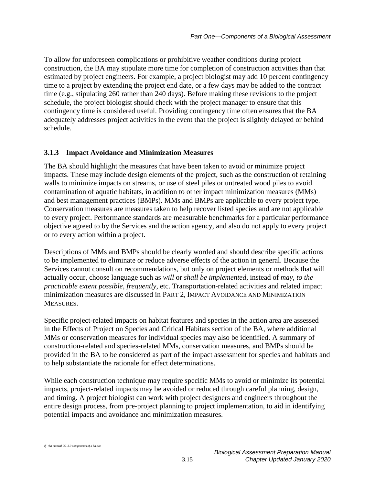To allow for unforeseen complications or prohibitive weather conditions during project construction, the BA may stipulate more time for completion of construction activities than that estimated by project engineers. For example, a project biologist may add 10 percent contingency time to a project by extending the project end date, or a few days may be added to the contract time (e.g., stipulating 260 rather than 240 days). Before making these revisions to the project schedule, the project biologist should check with the project manager to ensure that this contingency time is considered useful. Providing contingency time often ensures that the BA adequately addresses project activities in the event that the project is slightly delayed or behind schedule.

## <span id="page-18-0"></span>**3.1.3 Impact Avoidance and Minimization Measures**

The BA should highlight the measures that have been taken to avoid or minimize project impacts. These may include design elements of the project, such as the construction of retaining walls to minimize impacts on streams, or use of steel piles or untreated wood piles to avoid contamination of aquatic habitats, in addition to other impact minimization measures (MMs) and best management practices (BMPs). MMs and BMPs are applicable to every project type. Conservation measures are measures taken to help recover listed species and are not applicable to every project. Performance standards are measurable benchmarks for a particular performance objective agreed to by the Services and the action agency, and also do not apply to every project or to every action within a project.

Descriptions of MMs and BMPs should be clearly worded and should describe specific actions to be implemented to eliminate or reduce adverse effects of the action in general. Because the Services cannot consult on recommendations, but only on project elements or methods that will actually occur, choose language such as *will* or *shall be implemented*, instead of *may*, *to the practicable extent possible*, *frequently*, etc. Transportation-related activities and related impact minimization measures are discussed in PART 2, IMPACT AVOIDANCE AND MINIMIZATION MEASURES.

Specific project-related impacts on habitat features and species in the action area are assessed in the Effects of Project on Species and Critical Habitats section of the BA, where additional MMs or conservation measures for individual species may also be identified. A summary of construction-related and species-related MMs, conservation measures, and BMPs should be provided in the BA to be considered as part of the impact assessment for species and habitats and to help substantiate the rationale for effect determinations.

While each construction technique may require specific MMs to avoid or minimize its potential impacts, project-related impacts may be avoided or reduced through careful planning, design, and timing. A project biologist can work with project designers and engineers throughout the entire design process, from pre-project planning to project implementation, to aid in identifying potential impacts and avoidance and minimization measures.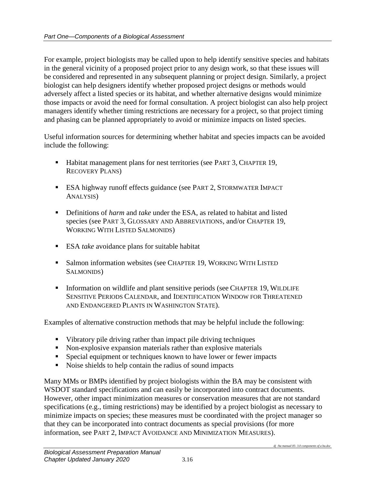For example, project biologists may be called upon to help identify sensitive species and habitats in the general vicinity of a proposed project prior to any design work, so that these issues will be considered and represented in any subsequent planning or project design. Similarly, a project biologist can help designers identify whether proposed project designs or methods would adversely affect a listed species or its habitat, and whether alternative designs would minimize those impacts or avoid the need for formal consultation. A project biologist can also help project managers identify whether timing restrictions are necessary for a project, so that project timing and phasing can be planned appropriately to avoid or minimize impacts on listed species.

Useful information sources for determining whether habitat and species impacts can be avoided include the following:

- Habitat management plans for nest territories (see PART 3, CHAPTER 19, RECOVERY PLANS)
- ESA highway runoff effects guidance (see PART 2, STORMWATER IMPACT ANALYSIS)
- Definitions of *harm* and *take* under the ESA, as related to habitat and listed species (see PART 3, GLOSSARY AND ABBREVIATIONS, and/or CHAPTER 19, WORKING WITH LISTED SALMONIDS)
- ESA *take* avoidance plans for suitable habitat
- Salmon information websites (see CHAPTER 19, WORKING WITH LISTED SALMONIDS)
- Information on wildlife and plant sensitive periods (see CHAPTER 19, WILDLIFE SENSITIVE PERIODS CALENDAR, and IDENTIFICATION WINDOW FOR THREATENED AND ENDANGERED PLANTS IN WASHINGTON STATE).

Examples of alternative construction methods that may be helpful include the following:

- Vibratory pile driving rather than impact pile driving techniques
- Non-explosive expansion materials rather than explosive materials
- **Special equipment or techniques known to have lower or fewer impacts**
- Noise shields to help contain the radius of sound impacts

Many MMs or BMPs identified by project biologists within the BA may be consistent with WSDOT standard specifications and can easily be incorporated into contract documents. However, other impact minimization measures or conservation measures that are not standard specifications (e.g., timing restrictions) may be identified by a project biologist as necessary to minimize impacts on species; these measures must be coordinated with the project manager so that they can be incorporated into contract documents as special provisions (for more information, see PART 2, IMPACT AVOIDANCE AND MINIMIZATION MEASURES).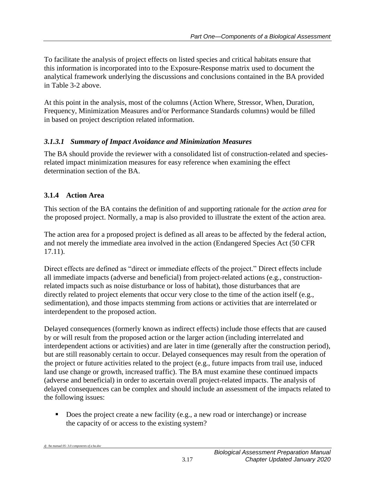To facilitate the analysis of project effects on listed species and critical habitats ensure that this information is incorporated into to the Exposure-Response matrix used to document the analytical framework underlying the discussions and conclusions contained in the BA provided in Table 3-2 above.

At this point in the analysis, most of the columns (Action Where, Stressor, When, Duration, Frequency, Minimization Measures and/or Performance Standards columns) would be filled in based on project description related information.

### *3.1.3.1 Summary of Impact Avoidance and Minimization Measures*

The BA should provide the reviewer with a consolidated list of construction-related and speciesrelated impact minimization measures for easy reference when examining the effect determination section of the BA.

## <span id="page-20-0"></span>**3.1.4 Action Area**

This section of the BA contains the definition of and supporting rationale for the *action area* for the proposed project. Normally, a map is also provided to illustrate the extent of the action area.

The action area for a proposed project is defined as all areas to be affected by the federal action, and not merely the immediate area involved in the action (Endangered Species Act (50 CFR 17.11).

Direct effects are defined as "direct or immediate effects of the project." Direct effects include all immediate impacts (adverse and beneficial) from project-related actions (e.g., constructionrelated impacts such as noise disturbance or loss of habitat), those disturbances that are directly related to project elements that occur very close to the time of the action itself (e.g., sedimentation), and those impacts stemming from actions or activities that are interrelated or interdependent to the proposed action.

Delayed consequences (formerly known as indirect effects) include those effects that are caused by or will result from the proposed action or the larger action (including interrelated and interdependent actions or activities) and are later in time (generally after the construction period), but are still reasonably certain to occur. Delayed consequences may result from the operation of the project or future activities related to the project (e.g., future impacts from trail use, induced land use change or growth, increased traffic). The BA must examine these continued impacts (adverse and beneficial) in order to ascertain overall project-related impacts. The analysis of delayed consequences can be complex and should include an assessment of the impacts related to the following issues:

Does the project create a new facility (e.g., a new road or interchange) or increase the capacity of or access to the existing system?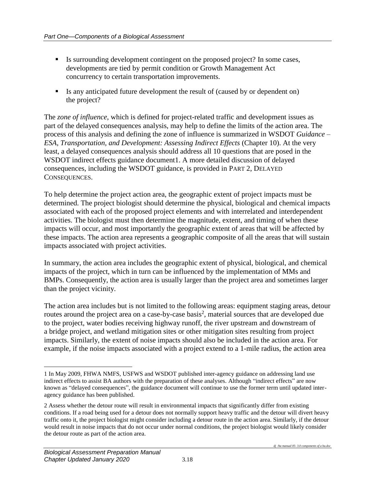- Is surrounding development contingent on the proposed project? In some cases, developments are tied by permit condition or Growth Management Act concurrency to certain transportation improvements.
- Is any anticipated future development the result of (caused by or dependent on) the project?

The *zone of influence*, which is defined for project-related traffic and development issues as part of the delayed consequences analysis, may help to define the limits of the action area. The process of this analysis and defining the zone of influence is summarized in WSDOT *Guidance – ESA, Transportation, and Development: Assessing Indirect Effects* (Chapter 10). At the very least, a delayed consequences analysis should address all 10 questions that are posed in the WSDOT indirect effects guidance document1. A more detailed discussion of delayed consequences, including the WSDOT guidance, is provided in PART 2, DELAYED CONSEQUENCES.

To help determine the project action area, the geographic extent of project impacts must be determined. The project biologist should determine the physical, biological and chemical impacts associated with each of the proposed project elements and with interrelated and interdependent activities. The biologist must then determine the magnitude, extent, and timing of when these impacts will occur, and most importantly the geographic extent of areas that will be affected by these impacts. The action area represents a geographic composite of all the areas that will sustain impacts associated with project activities.

In summary, the action area includes the geographic extent of physical, biological, and chemical impacts of the project, which in turn can be influenced by the implementation of MMs and BMPs. Consequently, the action area is usually larger than the project area and sometimes larger than the project vicinity.

The action area includes but is not limited to the following areas: equipment staging areas, detour routes around the project area on a case-by-case basis<sup>2</sup>, material sources that are developed due to the project, water bodies receiving highway runoff, the river upstream and downstream of a bridge project, and wetland mitigation sites or other mitigation sites resulting from project impacts. Similarly, the extent of noise impacts should also be included in the action area. For example, if the noise impacts associated with a project extend to a 1-mile radius, the action area

 $\overline{a}$ 

<sup>1</sup> In May 2009, FHWA NMFS, USFWS and WSDOT published inter-agency guidance on addressing land use indirect effects to assist BA authors with the preparation of these analyses. Although "indirect effects" are now known as "delayed consequences", the guidance document will continue to use the former term until updated interagency guidance has been published.

<sup>2</sup> Assess whether the detour route will result in environmental impacts that significantly differ from existing conditions. If a road being used for a detour does not normally support heavy traffic and the detour will divert heavy traffic onto it, the project biologist might consider including a detour route in the action area. Similarly, if the detour would result in noise impacts that do not occur under normal conditions, the project biologist would likely consider the detour route as part of the action area.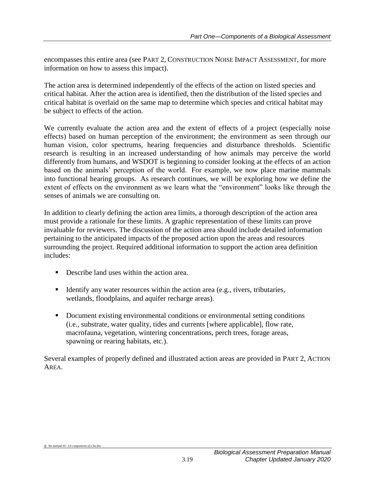encompasses this entire area (see PART 2, CONSTRUCTION NOISE IMPACT ASSESSMENT, for more information on how to assess this impact).

The action area is determined independently of the effects of the action on listed species and critical habitat. After the action area is identified, then the distribution of the listed species and critical habitat is overlaid on the same map to determine which species and critical habitat may be subject to effects of the action.

We currently evaluate the action area and the extent of effects of a project (especially noise effects) based on human perception of the environment; the environment as seen through our human vision, color spectrums, hearing frequencies and disturbance thresholds. Scientific research is resulting in an increased understanding of how animals may perceive the world differently from humans, and WSDOT is beginning to consider looking at the effects of an action based on the animals' perception of the world. For example, we now place marine mammals into functional hearing groups. As research continues, we will be exploring how we define the extent of effects on the environment as we learn what the "environment" looks like through the senses of animals we are consulting on.

In addition to clearly defining the action area limits, a thorough description of the action area must provide a rationale for these limits. A graphic representation of these limits can prove invaluable for reviewers. The discussion of the action area should include detailed information pertaining to the anticipated impacts of the proposed action upon the areas and resources surrounding the project. Required additional information to support the action area definition includes:

- Describe land uses within the action area.
- Identify any water resources within the action area (e.g., rivers, tributaries, wetlands, floodplains, and aquifer recharge areas).
- Document existing environmental conditions or environmental setting conditions (i.e., substrate, water quality, tides and currents [where applicable], flow rate, macrofauna, vegetation, wintering concentrations, perch trees, forage areas, spawning or rearing habitats, etc.).

Several examples of properly defined and illustrated action areas are provided in PART 2, ACTION AREA.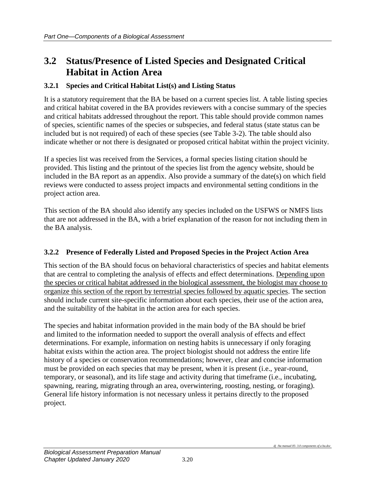## <span id="page-23-0"></span>**3.2 Status/Presence of Listed Species and Designated Critical Habitat in Action Area**

#### <span id="page-23-1"></span>**3.2.1 Species and Critical Habitat List(s) and Listing Status**

It is a statutory requirement that the BA be based on a current species list. A table listing species and critical habitat covered in the BA provides reviewers with a concise summary of the species and critical habitats addressed throughout the report. This table should provide common names of species, scientific names of the species or subspecies, and federal status (state status can be included but is not required) of each of these species (see Table 3-2). The table should also indicate whether or not there is designated or proposed critical habitat within the project vicinity.

If a species list was received from the Services, a formal species listing citation should be provided. This listing and the printout of the species list from the agency website, should be included in the BA report as an appendix. Also provide a summary of the date(s) on which field reviews were conducted to assess project impacts and environmental setting conditions in the project action area.

This section of the BA should also identify any species included on the USFWS or NMFS lists that are not addressed in the BA, with a brief explanation of the reason for not including them in the BA analysis.

#### <span id="page-23-2"></span>**3.2.2 Presence of Federally Listed and Proposed Species in the Project Action Area**

This section of the BA should focus on behavioral characteristics of species and habitat elements that are central to completing the analysis of effects and effect determinations. Depending upon the species or critical habitat addressed in the biological assessment, the biologist may choose to organize this section of the report by terrestrial species followed by aquatic species. The section should include current site-specific information about each species, their use of the action area, and the suitability of the habitat in the action area for each species.

The species and habitat information provided in the main body of the BA should be brief and limited to the information needed to support the overall analysis of effects and effect determinations. For example, information on nesting habits is unnecessary if only foraging habitat exists within the action area. The project biologist should not address the entire life history of a species or conservation recommendations; however, clear and concise information must be provided on each species that may be present, when it is present (i.e., year-round, temporary, or seasonal), and its life stage and activity during that timeframe (i.e., incubating, spawning, rearing, migrating through an area, overwintering, roosting, nesting, or foraging). General life history information is not necessary unless it pertains directly to the proposed project.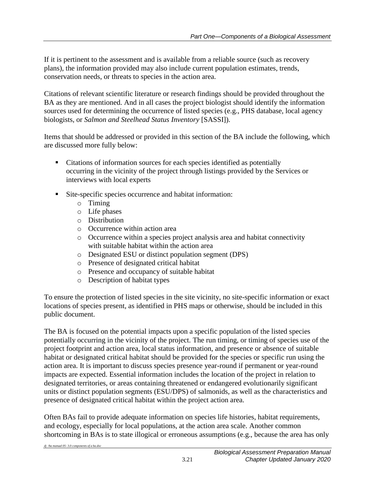If it is pertinent to the assessment and is available from a reliable source (such as recovery plans), the information provided may also include current population estimates, trends, conservation needs, or threats to species in the action area.

Citations of relevant scientific literature or research findings should be provided throughout the BA as they are mentioned. And in all cases the project biologist should identify the information sources used for determining the occurrence of listed species (e.g., PHS database, local agency biologists, or *Salmon and Steelhead Status Inventory* [SASSI]).

Items that should be addressed or provided in this section of the BA include the following, which are discussed more fully below:

- Citations of information sources for each species identified as potentially occurring in the vicinity of the project through listings provided by the Services or interviews with local experts
- Site-specific species occurrence and habitat information:
	- o Timing
	- o Life phases
	- o Distribution
	- o Occurrence within action area
	- o Occurrence within a species project analysis area and habitat connectivity with suitable habitat within the action area
	- o Designated ESU or distinct population segment (DPS)
	- o Presence of designated critical habitat
	- o Presence and occupancy of suitable habitat
	- o Description of habitat types

To ensure the protection of listed species in the site vicinity, no site-specific information or exact locations of species present, as identified in PHS maps or otherwise, should be included in this public document.

The BA is focused on the potential impacts upon a specific population of the listed species potentially occurring in the vicinity of the project. The run timing, or timing of species use of the project footprint and action area, local status information, and presence or absence of suitable habitat or designated critical habitat should be provided for the species or specific run using the action area. It is important to discuss species presence year-round if permanent or year-round impacts are expected. Essential information includes the location of the project in relation to designated territories, or areas containing threatened or endangered evolutionarily significant units or distinct population segments (ESU/DPS) of salmonids, as well as the characteristics and presence of designated critical habitat within the project action area.

Often BAs fail to provide adequate information on species life histories, habitat requirements, and ecology, especially for local populations, at the action area scale. Another common shortcoming in BAs is to state illogical or erroneous assumptions (e.g., because the area has only

*dj /ba manual 05- 3.0 components of a ba.doc*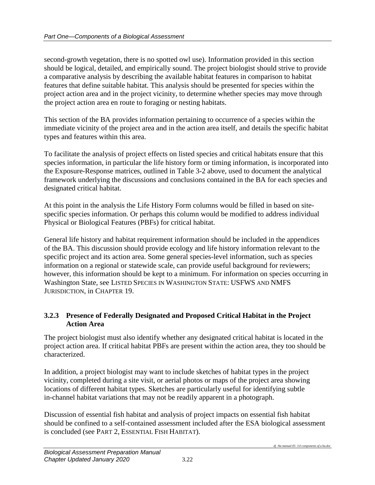second-growth vegetation, there is no spotted owl use). Information provided in this section should be logical, detailed, and empirically sound. The project biologist should strive to provide a comparative analysis by describing the available habitat features in comparison to habitat features that define suitable habitat. This analysis should be presented for species within the project action area and in the project vicinity, to determine whether species may move through the project action area en route to foraging or nesting habitats.

This section of the BA provides information pertaining to occurrence of a species within the immediate vicinity of the project area and in the action area itself, and details the specific habitat types and features within this area.

To facilitate the analysis of project effects on listed species and critical habitats ensure that this species information, in particular the life history form or timing information, is incorporated into the Exposure-Response matrices, outlined in Table 3-2 above, used to document the analytical framework underlying the discussions and conclusions contained in the BA for each species and designated critical habitat.

At this point in the analysis the Life History Form columns would be filled in based on sitespecific species information. Or perhaps this column would be modified to address individual Physical or Biological Features (PBFs) for critical habitat.

General life history and habitat requirement information should be included in the appendices of the BA. This discussion should provide ecology and life history information relevant to the specific project and its action area. Some general species-level information, such as species information on a regional or statewide scale, can provide useful background for reviewers; however, this information should be kept to a minimum. For information on species occurring in Washington State, see LISTED SPECIES IN WASHINGTON STATE: USFWS AND NMFS JURISDICTION, in CHAPTER 19.

#### <span id="page-25-0"></span>**3.2.3 Presence of Federally Designated and Proposed Critical Habitat in the Project Action Area**

The project biologist must also identify whether any designated critical habitat is located in the project action area. If critical habitat PBFs are present within the action area, they too should be characterized.

In addition, a project biologist may want to include sketches of habitat types in the project vicinity, completed during a site visit, or aerial photos or maps of the project area showing locations of different habitat types. Sketches are particularly useful for identifying subtle in-channel habitat variations that may not be readily apparent in a photograph.

Discussion of essential fish habitat and analysis of project impacts on essential fish habitat should be confined to a self-contained assessment included after the ESA biological assessment is concluded (see PART 2, ESSENTIAL FISH HABITAT).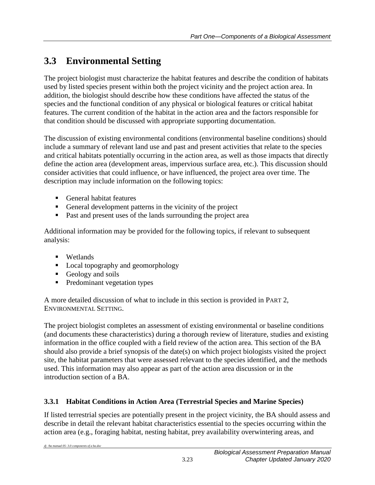## <span id="page-26-0"></span>**3.3 Environmental Setting**

The project biologist must characterize the habitat features and describe the condition of habitats used by listed species present within both the project vicinity and the project action area. In addition, the biologist should describe how these conditions have affected the status of the species and the functional condition of any physical or biological features or critical habitat features. The current condition of the habitat in the action area and the factors responsible for that condition should be discussed with appropriate supporting documentation.

The discussion of existing environmental conditions (environmental baseline conditions) should include a summary of relevant land use and past and present activities that relate to the species and critical habitats potentially occurring in the action area, as well as those impacts that directly define the action area (development areas, impervious surface area, etc.). This discussion should consider activities that could influence, or have influenced, the project area over time. The description may include information on the following topics:

- General habitat features
- General development patterns in the vicinity of the project
- **Past and present uses of the lands surrounding the project area**

Additional information may be provided for the following topics, if relevant to subsequent analysis:

- **•** Wetlands
- Local topography and geomorphology
- Geology and soils
- **Predominant vegetation types**

A more detailed discussion of what to include in this section is provided in PART 2, ENVIRONMENTAL SETTING.

The project biologist completes an assessment of existing environmental or baseline conditions (and documents these characteristics) during a thorough review of literature, studies and existing information in the office coupled with a field review of the action area. This section of the BA should also provide a brief synopsis of the date(s) on which project biologists visited the project site, the habitat parameters that were assessed relevant to the species identified, and the methods used. This information may also appear as part of the action area discussion or in the introduction section of a BA.

## <span id="page-26-1"></span>**3.3.1 Habitat Conditions in Action Area (Terrestrial Species and Marine Species)**

If listed terrestrial species are potentially present in the project vicinity, the BA should assess and describe in detail the relevant habitat characteristics essential to the species occurring within the action area (e.g., foraging habitat, nesting habitat, prey availability overwintering areas, and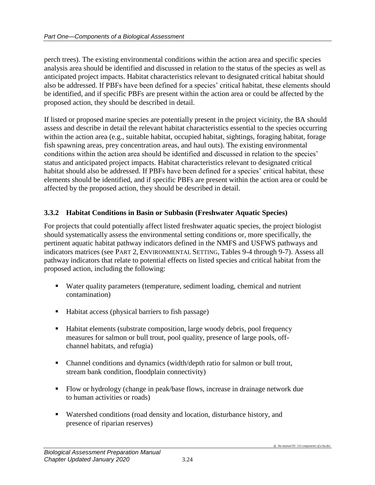perch trees). The existing environmental conditions within the action area and specific species analysis area should be identified and discussed in relation to the status of the species as well as anticipated project impacts. Habitat characteristics relevant to designated critical habitat should also be addressed. If PBFs have been defined for a species' critical habitat, these elements should be identified, and if specific PBFs are present within the action area or could be affected by the proposed action, they should be described in detail.

If listed or proposed marine species are potentially present in the project vicinity, the BA should assess and describe in detail the relevant habitat characteristics essential to the species occurring within the action area (e.g., suitable habitat, occupied habitat, sightings, foraging habitat, forage fish spawning areas, prey concentration areas, and haul outs). The existing environmental conditions within the action area should be identified and discussed in relation to the species' status and anticipated project impacts. Habitat characteristics relevant to designated critical habitat should also be addressed. If PBFs have been defined for a species' critical habitat, these elements should be identified, and if specific PBFs are present within the action area or could be affected by the proposed action, they should be described in detail.

## <span id="page-27-0"></span>**3.3.2 Habitat Conditions in Basin or Subbasin (Freshwater Aquatic Species)**

For projects that could potentially affect listed freshwater aquatic species, the project biologist should systematically assess the environmental setting conditions or, more specifically, the pertinent aquatic habitat pathway indicators defined in the NMFS and USFWS pathways and indicators matrices (see PART 2, ENVIRONMENTAL SETTING, Tables 9-4 through 9-7). Assess all pathway indicators that relate to potential effects on listed species and critical habitat from the proposed action, including the following:

- Water quality parameters (temperature, sediment loading, chemical and nutrient contamination)
- Habitat access (physical barriers to fish passage)
- Habitat elements (substrate composition, large woody debris, pool frequency measures for salmon or bull trout, pool quality, presence of large pools, offchannel habitats, and refugia)
- Channel conditions and dynamics (width/depth ratio for salmon or bull trout, stream bank condition, floodplain connectivity)
- Flow or hydrology (change in peak/base flows, increase in drainage network due to human activities or roads)
- Watershed conditions (road density and location, disturbance history, and presence of riparian reserves)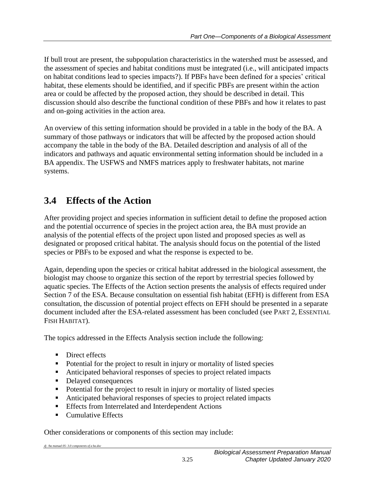If bull trout are present, the subpopulation characteristics in the watershed must be assessed, and the assessment of species and habitat conditions must be integrated (i.e., will anticipated impacts on habitat conditions lead to species impacts?). If PBFs have been defined for a species' critical habitat, these elements should be identified, and if specific PBFs are present within the action area or could be affected by the proposed action, they should be described in detail. This discussion should also describe the functional condition of these PBFs and how it relates to past and on-going activities in the action area.

An overview of this setting information should be provided in a table in the body of the BA. A summary of those pathways or indicators that will be affected by the proposed action should accompany the table in the body of the BA. Detailed description and analysis of all of the indicators and pathways and aquatic environmental setting information should be included in a BA appendix. The USFWS and NMFS matrices apply to freshwater habitats, not marine systems.

## <span id="page-28-0"></span>**3.4 Effects of the Action**

After providing project and species information in sufficient detail to define the proposed action and the potential occurrence of species in the project action area, the BA must provide an analysis of the potential effects of the project upon listed and proposed species as well as designated or proposed critical habitat. The analysis should focus on the potential of the listed species or PBFs to be exposed and what the response is expected to be.

Again, depending upon the species or critical habitat addressed in the biological assessment, the biologist may choose to organize this section of the report by terrestrial species followed by aquatic species. The Effects of the Action section presents the analysis of effects required under Section 7 of the ESA. Because consultation on essential fish habitat (EFH) is different from ESA consultation, the discussion of potential project effects on EFH should be presented in a separate document included after the ESA-related assessment has been concluded (see PART 2, ESSENTIAL FISH HABITAT).

The topics addressed in the Effects Analysis section include the following:

- **Direct effects**
- Potential for the project to result in injury or mortality of listed species
- Anticipated behavioral responses of species to project related impacts
- Delayed consequences
- Potential for the project to result in injury or mortality of listed species
- Anticipated behavioral responses of species to project related impacts
- **Effects from Interrelated and Interdependent Actions**
- Cumulative Effects

Other considerations or components of this section may include: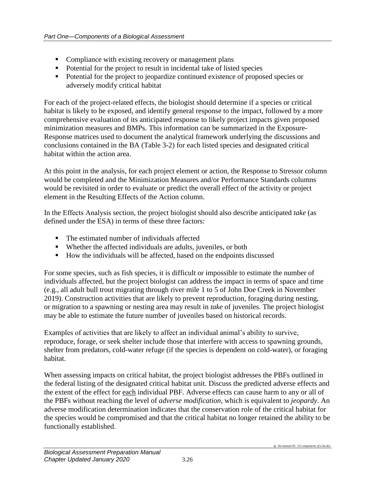- Compliance with existing recovery or management plans
- Potential for the project to result in incidental take of listed species
- Potential for the project to jeopardize continued existence of proposed species or adversely modify critical habitat

For each of the project-related effects, the biologist should determine if a species or critical habitat is likely to be exposed, and identify general response to the impact, followed by a more comprehensive evaluation of its anticipated response to likely project impacts given proposed minimization measures and BMPs. This information can be summarized in the Exposure-Response matrices used to document the analytical framework underlying the discussions and conclusions contained in the BA (Table 3-2) for each listed species and designated critical habitat within the action area.

At this point in the analysis, for each project element or action, the Response to Stressor column would be completed and the Minimization Measures and/or Performance Standards columns would be revisited in order to evaluate or predict the overall effect of the activity or project element in the Resulting Effects of the Action column.

In the Effects Analysis section, the project biologist should also describe anticipated *take* (as defined under the ESA) in terms of these three factors:

- The estimated number of individuals affected
- Whether the affected individuals are adults, juveniles, or both
- How the individuals will be affected, based on the endpoints discussed

For some species, such as fish species, it is difficult or impossible to estimate the number of individuals affected, but the project biologist can address the impact in terms of space and time (e.g., all adult bull trout migrating through river mile 1 to 5 of John Doe Creek in November 2019). Construction activities that are likely to prevent reproduction, foraging during nesting, or migration to a spawning or nesting area may result in *take* of juveniles. The project biologist may be able to estimate the future number of juveniles based on historical records.

Examples of activities that are likely to affect an individual animal's ability to survive, reproduce, forage, or seek shelter include those that interfere with access to spawning grounds, shelter from predators, cold-water refuge (if the species is dependent on cold-water), or foraging habitat.

When assessing impacts on critical habitat, the project biologist addresses the PBFs outlined in the federal listing of the designated critical habitat unit. Discuss the predicted adverse effects and the extent of the effect for each individual PBF. Adverse effects can cause harm to any or all of the PBFs without reaching the level of *adverse modification*, which is equivalent to *jeopardy*. An adverse modification determination indicates that the conservation role of the critical habitat for the species would be compromised and that the critical habitat no longer retained the ability to be functionally established.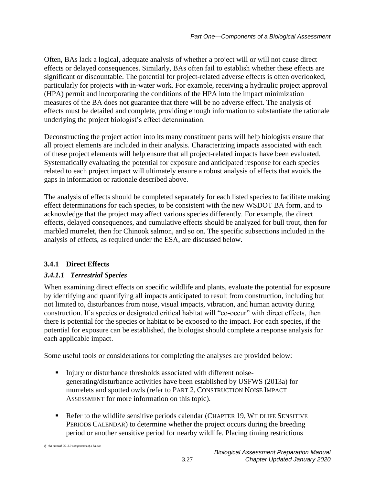Often, BAs lack a logical, adequate analysis of whether a project will or will not cause direct effects or delayed consequences. Similarly, BAs often fail to establish whether these effects are significant or discountable. The potential for project-related adverse effects is often overlooked, particularly for projects with in-water work. For example, receiving a hydraulic project approval (HPA) permit and incorporating the conditions of the HPA into the impact minimization measures of the BA does not guarantee that there will be no adverse effect. The analysis of effects must be detailed and complete, providing enough information to substantiate the rationale underlying the project biologist's effect determination.

Deconstructing the project action into its many constituent parts will help biologists ensure that all project elements are included in their analysis. Characterizing impacts associated with each of these project elements will help ensure that all project-related impacts have been evaluated. Systematically evaluating the potential for exposure and anticipated response for each species related to each project impact will ultimately ensure a robust analysis of effects that avoids the gaps in information or rationale described above.

The analysis of effects should be completed separately for each listed species to facilitate making effect determinations for each species, to be consistent with the new WSDOT BA form, and to acknowledge that the project may affect various species differently. For example, the direct effects, delayed consequences, and cumulative effects should be analyzed for bull trout, then for marbled murrelet, then for Chinook salmon, and so on. The specific subsections included in the analysis of effects, as required under the ESA, are discussed below.

## <span id="page-30-0"></span>**3.4.1 Direct Effects**

## *3.4.1.1 Terrestrial Species*

When examining direct effects on specific wildlife and plants, evaluate the potential for exposure by identifying and quantifying all impacts anticipated to result from construction, including but not limited to, disturbances from noise, visual impacts, vibration, and human activity during construction. If a species or designated critical habitat will "co-occur" with direct effects, then there is potential for the species or habitat to be exposed to the impact. For each species, if the potential for exposure can be established, the biologist should complete a response analysis for each applicable impact.

Some useful tools or considerations for completing the analyses are provided below:

- Injury or disturbance thresholds associated with different noisegenerating/disturbance activities have been established by USFWS (2013a) for murrelets and spotted owls (refer to PART 2, CONSTRUCTION NOISE IMPACT ASSESSMENT for more information on this topic).
- Refer to the wildlife sensitive periods calendar (CHAPTER 19, WILDLIFE SENSITIVE PERIODS CALENDAR) to determine whether the project occurs during the breeding period or another sensitive period for nearby wildlife. Placing timing restrictions

*dj /ba manual 05- 3.0 components of a ba.doc*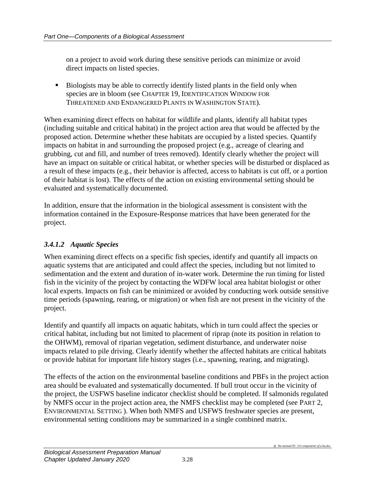on a project to avoid work during these sensitive periods can minimize or avoid direct impacts on listed species.

 Biologists may be able to correctly identify listed plants in the field only when species are in bloom (see CHAPTER 19, IDENTIFICATION WINDOW FOR THREATENED AND ENDANGERED PLANTS IN WASHINGTON STATE).

When examining direct effects on habitat for wildlife and plants, identify all habitat types (including suitable and critical habitat) in the project action area that would be affected by the proposed action. Determine whether these habitats are occupied by a listed species. Quantify impacts on habitat in and surrounding the proposed project (e.g., acreage of clearing and grubbing, cut and fill, and number of trees removed). Identify clearly whether the project will have an impact on suitable or critical habitat, or whether species will be disturbed or displaced as a result of these impacts (e.g., their behavior is affected, access to habitats is cut off, or a portion of their habitat is lost). The effects of the action on existing environmental setting should be evaluated and systematically documented.

In addition, ensure that the information in the biological assessment is consistent with the information contained in the Exposure-Response matrices that have been generated for the project.

## *3.4.1.2 Aquatic Species*

When examining direct effects on a specific fish species, identify and quantify all impacts on aquatic systems that are anticipated and could affect the species, including but not limited to sedimentation and the extent and duration of in-water work. Determine the run timing for listed fish in the vicinity of the project by contacting the WDFW local area habitat biologist or other local experts. Impacts on fish can be minimized or avoided by conducting work outside sensitive time periods (spawning, rearing, or migration) or when fish are not present in the vicinity of the project.

Identify and quantify all impacts on aquatic habitats, which in turn could affect the species or critical habitat, including but not limited to placement of riprap (note its position in relation to the OHWM), removal of riparian vegetation, sediment disturbance, and underwater noise impacts related to pile driving. Clearly identify whether the affected habitats are critical habitats or provide habitat for important life history stages (i.e., spawning, rearing, and migrating).

The effects of the action on the environmental baseline conditions and PBFs in the project action area should be evaluated and systematically documented. If bull trout occur in the vicinity of the project, the USFWS baseline indicator checklist should be completed. If salmonids regulated by NMFS occur in the project action area, the NMFS checklist may be completed (see PART 2, ENVIRONMENTAL SETTING ). When both NMFS and USFWS freshwater species are present, environmental setting conditions may be summarized in a single combined matrix.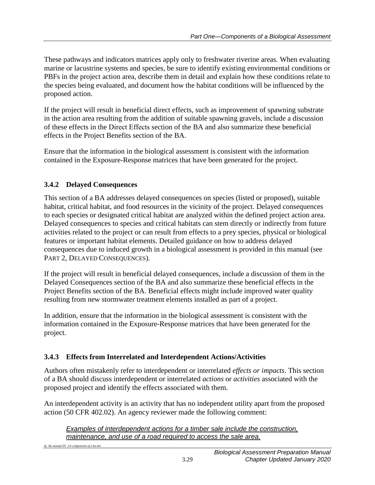These pathways and indicators matrices apply only to freshwater riverine areas. When evaluating marine or lacustrine systems and species, be sure to identify existing environmental conditions or PBFs in the project action area, describe them in detail and explain how these conditions relate to the species being evaluated, and document how the habitat conditions will be influenced by the proposed action.

If the project will result in beneficial direct effects, such as improvement of spawning substrate in the action area resulting from the addition of suitable spawning gravels, include a discussion of these effects in the Direct Effects section of the BA and also summarize these beneficial effects in the Project Benefits section of the BA.

Ensure that the information in the biological assessment is consistent with the information contained in the Exposure-Response matrices that have been generated for the project.

## <span id="page-32-0"></span>**3.4.2 Delayed Consequences**

This section of a BA addresses delayed consequences on species (listed or proposed), suitable habitat, critical habitat, and food resources in the vicinity of the project. Delayed consequences to each species or designated critical habitat are analyzed within the defined project action area. Delayed consequences to species and critical habitats can stem directly or indirectly from future activities related to the project or can result from effects to a prey species, physical or biological features or important habitat elements. Detailed guidance on how to address delayed consequences due to induced growth in a biological assessment is provided in this manual (see PART 2, DELAYED CONSEQUENCES).

If the project will result in beneficial delayed consequences, include a discussion of them in the Delayed Consequences section of the BA and also summarize these beneficial effects in the Project Benefits section of the BA. Beneficial effects might include improved water quality resulting from new stormwater treatment elements installed as part of a project.

In addition, ensure that the information in the biological assessment is consistent with the information contained in the Exposure-Response matrices that have been generated for the project.

## <span id="page-32-1"></span>**3.4.3 Effects from Interrelated and Interdependent Actions/Activities**

Authors often mistakenly refer to interdependent or interrelated *effects or impacts*. This section of a BA should discuss interdependent or interrelated *actions* or *activities* associated with the proposed project and identify the effects associated with them.

An interdependent activity is an activity that has no independent utility apart from the proposed action (50 CFR 402.02). An agency reviewer made the following comment:

*Examples of interdependent actions for a timber sale include the construction, maintenance, and use of a road required to access the sale area.*

*dj /ba manual 05- 3.0 components of a ba.doc*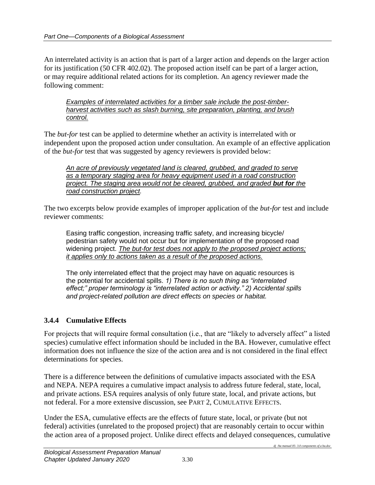An interrelated activity is an action that is part of a larger action and depends on the larger action for its justification (50 CFR 402.02). The proposed action itself can be part of a larger action, or may require additional related actions for its completion. An agency reviewer made the following comment:

*Examples of interrelated activities for a timber sale include the post-timberharvest activities such as slash burning, site preparation, planting, and brush control.*

The *but-for* test can be applied to determine whether an activity is interrelated with or independent upon the proposed action under consultation. An example of an effective application of the *but-for* test that was suggested by agency reviewers is provided below:

*An acre of previously vegetated land is cleared, grubbed, and graded to serve as a temporary staging area for heavy equipment used in a road construction project. The staging area would not be cleared, grubbed, and graded but for the road construction project.*

The two excerpts below provide examples of improper application of the *but-for* test and include reviewer comments:

Easing traffic congestion, increasing traffic safety, and increasing bicycle/ pedestrian safety would not occur but for implementation of the proposed road widening project. *The but-for test does not apply to the proposed project actions; it applies only to actions taken as a result of the proposed actions.*

The only interrelated effect that the project may have on aquatic resources is the potential for accidental spills. *1) There is no such thing as "interrelated effect;" proper terminology is "interrelated action or activity." 2) Accidental spills and project-related pollution are direct effects on species or habitat.*

## <span id="page-33-0"></span>**3.4.4 Cumulative Effects**

For projects that will require formal consultation (i.e., that are "likely to adversely affect" a listed species) cumulative effect information should be included in the BA. However, cumulative effect information does not influence the size of the action area and is not considered in the final effect determinations for species.

There is a difference between the definitions of cumulative impacts associated with the ESA and NEPA. NEPA requires a cumulative impact analysis to address future federal, state, local, and private actions. ESA requires analysis of only future state, local, and private actions, but not federal. For a more extensive discussion, see PART 2, CUMULATIVE EFFECTS.

Under the ESA, cumulative effects are the effects of future state, local, or private (but not federal) activities (unrelated to the proposed project) that are reasonably certain to occur within the action area of a proposed project. Unlike direct effects and delayed consequences, cumulative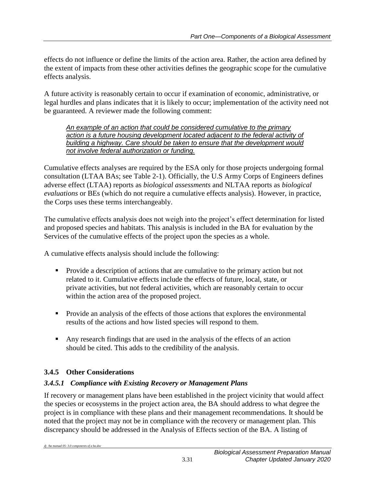effects do not influence or define the limits of the action area. Rather, the action area defined by the extent of impacts from these other activities defines the geographic scope for the cumulative effects analysis.

A future activity is reasonably certain to occur if examination of economic, administrative, or legal hurdles and plans indicates that it is likely to occur; implementation of the activity need not be guaranteed. A reviewer made the following comment:

*An example of an action that could be considered cumulative to the primary action is a future housing development located adjacent to the federal activity of building a highway. Care should be taken to ensure that the development would not involve federal authorization or funding.*

Cumulative effects analyses are required by the ESA only for those projects undergoing formal consultation (LTAA BAs; see Table 2-1). Officially, the U.S Army Corps of Engineers defines adverse effect (LTAA) reports as *biological assessments* and NLTAA reports as *biological evaluations* or BEs (which do not require a cumulative effects analysis). However, in practice, the Corps uses these terms interchangeably.

The cumulative effects analysis does not weigh into the project's effect determination for listed and proposed species and habitats. This analysis is included in the BA for evaluation by the Services of the cumulative effects of the project upon the species as a whole.

A cumulative effects analysis should include the following:

- **Provide a description of actions that are cumulative to the primary action but not** related to it. Cumulative effects include the effects of future, local, state, or private activities, but not federal activities, which are reasonably certain to occur within the action area of the proposed project.
- Provide an analysis of the effects of those actions that explores the environmental results of the actions and how listed species will respond to them.
- Any research findings that are used in the analysis of the effects of an action should be cited. This adds to the credibility of the analysis.

## <span id="page-34-0"></span>**3.4.5 Other Considerations**

#### *3.4.5.1 Compliance with Existing Recovery or Management Plans*

If recovery or management plans have been established in the project vicinity that would affect the species or ecosystems in the project action area, the BA should address to what degree the project is in compliance with these plans and their management recommendations. It should be noted that the project may not be in compliance with the recovery or management plan. This discrepancy should be addressed in the Analysis of Effects section of the BA. A listing of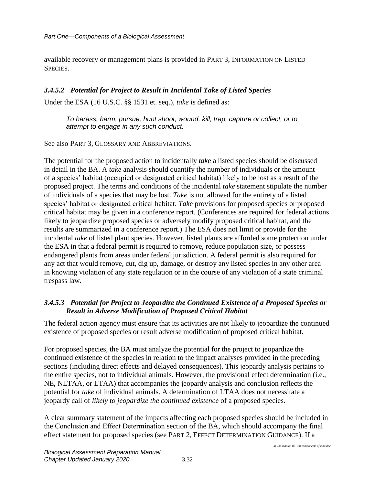available recovery or management plans is provided in PART 3, INFORMATION ON LISTED SPECIES.

#### *3.4.5.2 Potential for Project to Result in Incidental Take of Listed Species*

Under the ESA (16 U.S.C. §§ 1531 et. seq.), *take* is defined as:

*To harass, harm, pursue, hunt shoot, wound, kill, trap, capture or collect, or to attempt to engage in any such conduct.*

See also PART 3, GLOSSARY AND ABBREVIATIONS.

The potential for the proposed action to incidentally *take* a listed species should be discussed in detail in the BA. A *take* analysis should quantify the number of individuals or the amount of a species' habitat (occupied or designated critical habitat) likely to be lost as a result of the proposed project. The terms and conditions of the incidental *take* statement stipulate the number of individuals of a species that may be lost. *Take* is not allowed for the entirety of a listed species' habitat or designated critical habitat. *Take* provisions for proposed species or proposed critical habitat may be given in a conference report. (Conferences are required for federal actions likely to jeopardize proposed species or adversely modify proposed critical habitat, and the results are summarized in a conference report.) The ESA does not limit or provide for the incidental *take* of listed plant species. However, listed plants are afforded some protection under the ESA in that a federal permit is required to remove, reduce population size, or possess endangered plants from areas under federal jurisdiction. A federal permit is also required for any act that would remove, cut, dig up, damage, or destroy any listed species in any other area in knowing violation of any state regulation or in the course of any violation of a state criminal trespass law.

#### *3.4.5.3 Potential for Project to Jeopardize the Continued Existence of a Proposed Species or Result in Adverse Modification of Proposed Critical Habitat*

The federal action agency must ensure that its activities are not likely to jeopardize the continued existence of proposed species or result adverse modification of proposed critical habitat.

For proposed species, the BA must analyze the potential for the project to jeopardize the continued existence of the species in relation to the impact analyses provided in the preceding sections (including direct effects and delayed consequences). This jeopardy analysis pertains to the entire species, not to individual animals. However, the provisional effect determination (i.e., NE, NLTAA, or LTAA) that accompanies the jeopardy analysis and conclusion reflects the potential for *take* of individual animals. A determination of LTAA does not necessitate a jeopardy call of *likely to jeopardize the continued existence* of a proposed species.

A clear summary statement of the impacts affecting each proposed species should be included in the Conclusion and Effect Determination section of the BA, which should accompany the final effect statement for proposed species (see PART 2, EFFECT DETERMINATION GUIDANCE). If a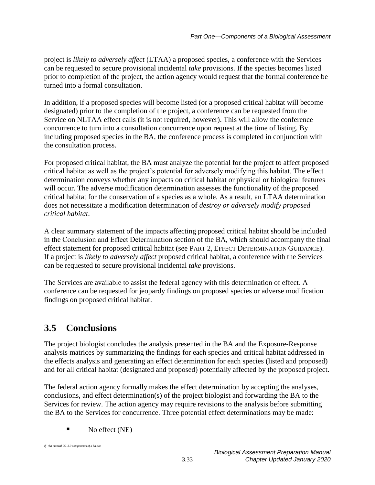project is *likely to adversely affect* (LTAA) a proposed species, a conference with the Services can be requested to secure provisional incidental *take* provisions. If the species becomes listed prior to completion of the project, the action agency would request that the formal conference be turned into a formal consultation.

In addition, if a proposed species will become listed (or a proposed critical habitat will become designated) prior to the completion of the project, a conference can be requested from the Service on NLTAA effect calls (it is not required, however). This will allow the conference concurrence to turn into a consultation concurrence upon request at the time of listing. By including proposed species in the BA, the conference process is completed in conjunction with the consultation process.

For proposed critical habitat, the BA must analyze the potential for the project to affect proposed critical habitat as well as the project's potential for adversely modifying this habitat. The effect determination conveys whether any impacts on critical habitat or physical or biological features will occur. The adverse modification determination assesses the functionality of the proposed critical habitat for the conservation of a species as a whole. As a result, an LTAA determination does not necessitate a modification determination of *destroy or adversely modify proposed critical habitat*.

A clear summary statement of the impacts affecting proposed critical habitat should be included in the Conclusion and Effect Determination section of the BA, which should accompany the final effect statement for proposed critical habitat (see PART 2, EFFECT DETERMINATION GUIDANCE). If a project is *likely to adversely affect* proposed critical habitat, a conference with the Services can be requested to secure provisional incidental *take* provisions.

The Services are available to assist the federal agency with this determination of effect. A conference can be requested for jeopardy findings on proposed species or adverse modification findings on proposed critical habitat.

## <span id="page-36-0"></span>**3.5 Conclusions**

The project biologist concludes the analysis presented in the BA and the Exposure-Response analysis matrices by summarizing the findings for each species and critical habitat addressed in the effects analysis and generating an effect determination for each species (listed and proposed) and for all critical habitat (designated and proposed) potentially affected by the proposed project.

The federal action agency formally makes the effect determination by accepting the analyses, conclusions, and effect determination(s) of the project biologist and forwarding the BA to the Services for review. The action agency may require revisions to the analysis before submitting the BA to the Services for concurrence. Three potential effect determinations may be made:

 $\blacksquare$  No effect (NE)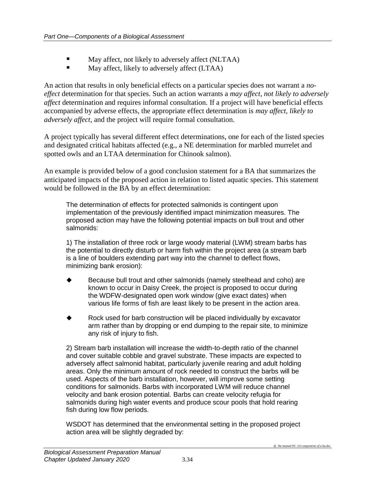- May affect, not likely to adversely affect (NLTAA)
- May affect, likely to adversely affect (LTAA)

An action that results in only beneficial effects on a particular species does not warrant a *noeffect* determination for that species. Such an action warrants a *may affect, not likely to adversely affect* determination and requires informal consultation. If a project will have beneficial effects accompanied by adverse effects, the appropriate effect determination is *may affect, likely to adversely affect*, and the project will require formal consultation.

A project typically has several different effect determinations, one for each of the listed species and designated critical habitats affected (e.g., a NE determination for marbled murrelet and spotted owls and an LTAA determination for Chinook salmon).

An example is provided below of a good conclusion statement for a BA that summarizes the anticipated impacts of the proposed action in relation to listed aquatic species. This statement would be followed in the BA by an effect determination:

The determination of effects for protected salmonids is contingent upon implementation of the previously identified impact minimization measures. The proposed action may have the following potential impacts on bull trout and other salmonids:

1) The installation of three rock or large woody material (LWM) stream barbs has the potential to directly disturb or harm fish within the project area (a stream barb is a line of boulders extending part way into the channel to deflect flows, minimizing bank erosion):

- Because bull trout and other salmonids (namely steelhead and coho) are known to occur in Daisy Creek, the project is proposed to occur during the WDFW-designated open work window (give exact dates) when various life forms of fish are least likely to be present in the action area.
- Rock used for barb construction will be placed individually by excavator arm rather than by dropping or end dumping to the repair site, to minimize any risk of injury to fish.

2) Stream barb installation will increase the width-to-depth ratio of the channel and cover suitable cobble and gravel substrate. These impacts are expected to adversely affect salmonid habitat, particularly juvenile rearing and adult holding areas. Only the minimum amount of rock needed to construct the barbs will be used. Aspects of the barb installation, however, will improve some setting conditions for salmonids. Barbs with incorporated LWM will reduce channel velocity and bank erosion potential. Barbs can create velocity refugia for salmonids during high water events and produce scour pools that hold rearing fish during low flow periods.

WSDOT has determined that the environmental setting in the proposed project action area will be slightly degraded by: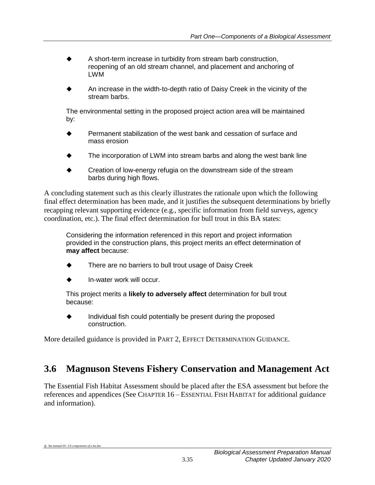- A short-term increase in turbidity from stream barb construction, reopening of an old stream channel, and placement and anchoring of LWM
- An increase in the width-to-depth ratio of Daisy Creek in the vicinity of the stream barbs.

The environmental setting in the proposed project action area will be maintained by:

- Permanent stabilization of the west bank and cessation of surface and mass erosion
- The incorporation of LWM into stream barbs and along the west bank line
- Creation of low-energy refugia on the downstream side of the stream barbs during high flows.

A concluding statement such as this clearly illustrates the rationale upon which the following final effect determination has been made, and it justifies the subsequent determinations by briefly recapping relevant supporting evidence (e.g., specific information from field surveys, agency coordination, etc.). The final effect determination for bull trout in this BA states:

Considering the information referenced in this report and project information provided in the construction plans, this project merits an effect determination of **may affect** because:

- There are no barriers to bull trout usage of Daisy Creek
- In-water work will occur.

This project merits a **likely to adversely affect** determination for bull trout because:

 $\bullet$  Individual fish could potentially be present during the proposed construction.

More detailed guidance is provided in PART 2, EFFECT DETERMINATION GUIDANCE.

## <span id="page-38-0"></span>**3.6 Magnuson Stevens Fishery Conservation and Management Act**

The Essential Fish Habitat Assessment should be placed after the ESA assessment but before the references and appendices (See CHAPTER 16 – ESSENTIAL FISH HABITAT for additional guidance and information).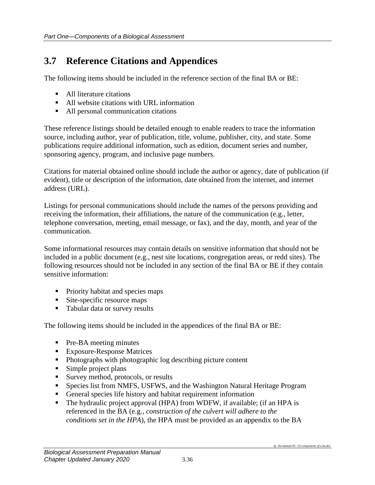## <span id="page-39-0"></span>**3.7 Reference Citations and Appendices**

The following items should be included in the reference section of the final BA or BE:

- **All literature citations**
- All website citations with URL information
- All personal communication citations

These reference listings should be detailed enough to enable readers to trace the information source, including author, year of publication, title, volume, publisher, city, and state. Some publications require additional information, such as edition, document series and number, sponsoring agency, program, and inclusive page numbers.

Citations for material obtained online should include the author or agency, date of publication (if evident), title or description of the information, date obtained from the internet, and internet address (URL).

Listings for personal communications should include the names of the persons providing and receiving the information, their affiliations, the nature of the communication (e.g., letter, telephone conversation, meeting, email message, or fax), and the day, month, and year of the communication.

Some informational resources may contain details on sensitive information that should not be included in a public document (e.g., nest site locations, congregation areas, or redd sites). The following resources should not be included in any section of the final BA or BE if they contain sensitive information:

- Priority habitat and species maps
- Site-specific resource maps
- Tabular data or survey results

The following items should be included in the appendices of the final BA or BE:

- **Pre-BA** meeting minutes
- Exposure-Response Matrices
- Photographs with photographic log describing picture content
- Simple project plans
- Survey method, protocols, or results
- Species list from NMFS, USFWS, and the Washington Natural Heritage Program
- General species life history and habitat requirement information
- The hydraulic project approval (HPA) from WDFW, if available; (if an HPA is referenced in the BA (e.g., *construction of the culvert will adhere to the conditions set in the HPA*), the HPA must be provided as an appendix to the BA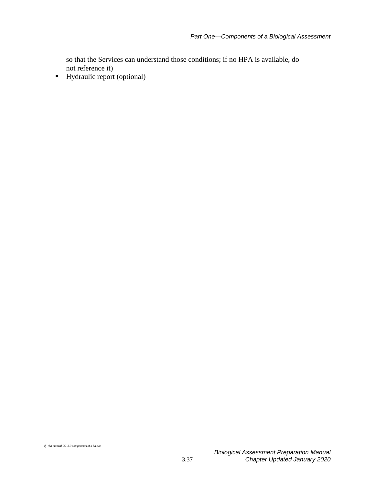so that the Services can understand those conditions; if no HPA is available, do not reference it)

 $\blacksquare$  Hydraulic report (optional)